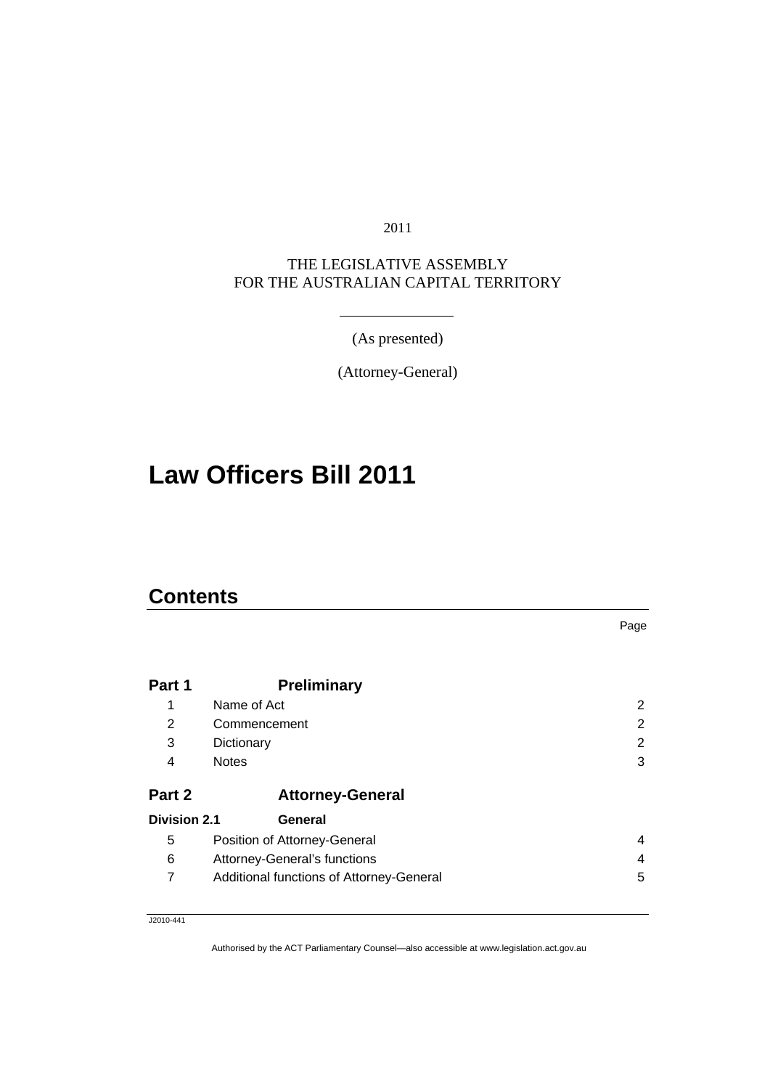2011

#### THE LEGISLATIVE ASSEMBLY FOR THE AUSTRALIAN CAPITAL TERRITORY

(As presented)

(Attorney-General)

# **Law Officers Bill 2011**

### **Contents**

| Part 1              | <b>Preliminary</b>                       |                       |  |  |
|---------------------|------------------------------------------|-----------------------|--|--|
| 1                   | Name of Act                              | $\mathbf{2}^{\prime}$ |  |  |
| 2                   | 2<br>Commencement                        |                       |  |  |
| 3                   | Dictionary                               | $\mathbf{2}^{\prime}$ |  |  |
| 4                   | <b>Notes</b>                             | 3                     |  |  |
| Part 2              | <b>Attorney-General</b>                  |                       |  |  |
| <b>Division 2.1</b> | General                                  |                       |  |  |
| 5                   | Position of Attorney-General             | 4                     |  |  |
| 6                   | Attorney-General's functions             | 4                     |  |  |
|                     | Additional functions of Attorney-General | 5                     |  |  |

Page

J2010-441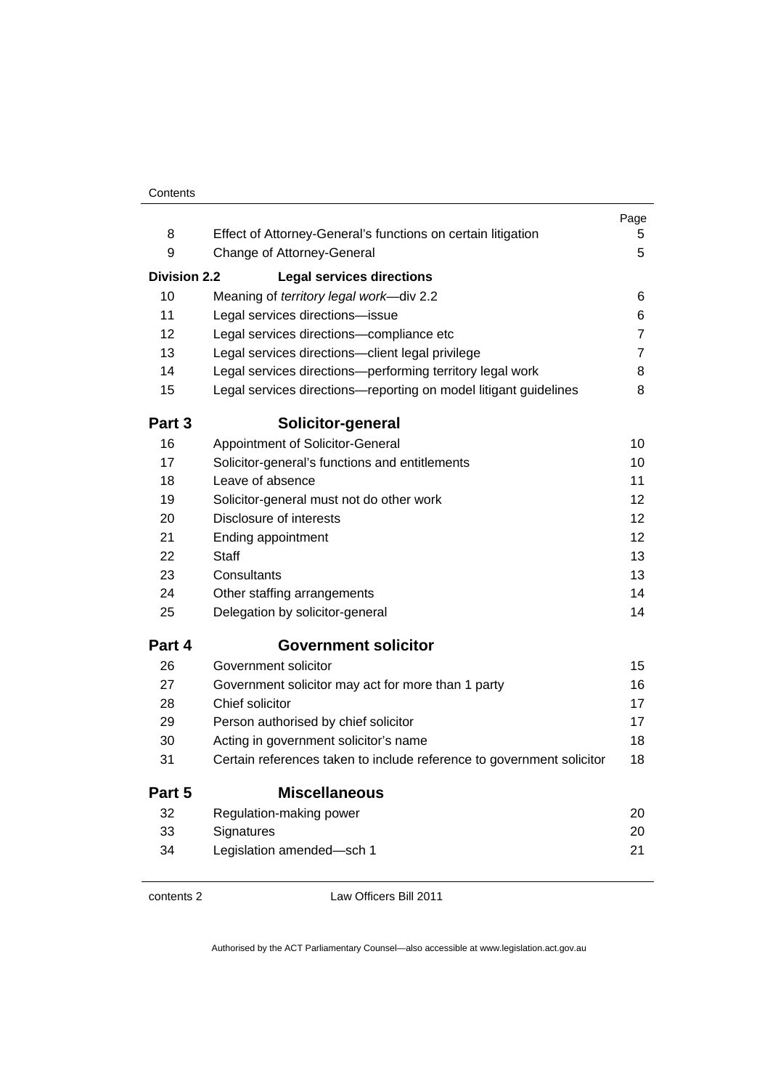|                     |                                                                       | Page           |
|---------------------|-----------------------------------------------------------------------|----------------|
| 8                   | Effect of Attorney-General's functions on certain litigation          | 5.             |
| 9                   | Change of Attorney-General                                            | 5              |
| <b>Division 2.2</b> | <b>Legal services directions</b>                                      |                |
| 10                  | Meaning of territory legal work-div 2.2                               | 6              |
| 11                  | Legal services directions-issue                                       | 6              |
| 12                  | Legal services directions-compliance etc                              | $\overline{7}$ |
| 13                  | Legal services directions-client legal privilege                      | $\overline{7}$ |
| 14                  | Legal services directions-performing territory legal work             | 8              |
| 15                  | Legal services directions-reporting on model litigant guidelines      | 8              |
| Part 3              | Solicitor-general                                                     |                |
| 16                  | Appointment of Solicitor-General                                      | 10             |
| 17                  | Solicitor-general's functions and entitlements                        | 10             |
| 18                  | Leave of absence                                                      | 11             |
| 19                  | Solicitor-general must not do other work                              | 12             |
| 20                  | Disclosure of interests                                               | 12             |
| 21                  | Ending appointment                                                    | 12             |
| 22                  | Staff                                                                 | 13             |
| 23                  | Consultants                                                           | 13             |
| 24                  | Other staffing arrangements                                           | 14             |
| 25                  | Delegation by solicitor-general                                       | 14             |
| Part 4              | <b>Government solicitor</b>                                           |                |
| 26                  | Government solicitor                                                  | 15             |
| 27                  | Government solicitor may act for more than 1 party                    | 16             |
| 28                  | Chief solicitor                                                       | 17             |
| 29                  | Person authorised by chief solicitor                                  | 17             |
| 30                  | Acting in government solicitor's name                                 | 18             |
| 31                  | Certain references taken to include reference to government solicitor | 18             |
| Part 5              | <b>Miscellaneous</b>                                                  |                |
| 32                  | Regulation-making power                                               | 20             |
| 33                  | Signatures                                                            | 20             |
| 34                  | Legislation amended-sch 1                                             | 21             |

contents 2 Law Officers Bill 2011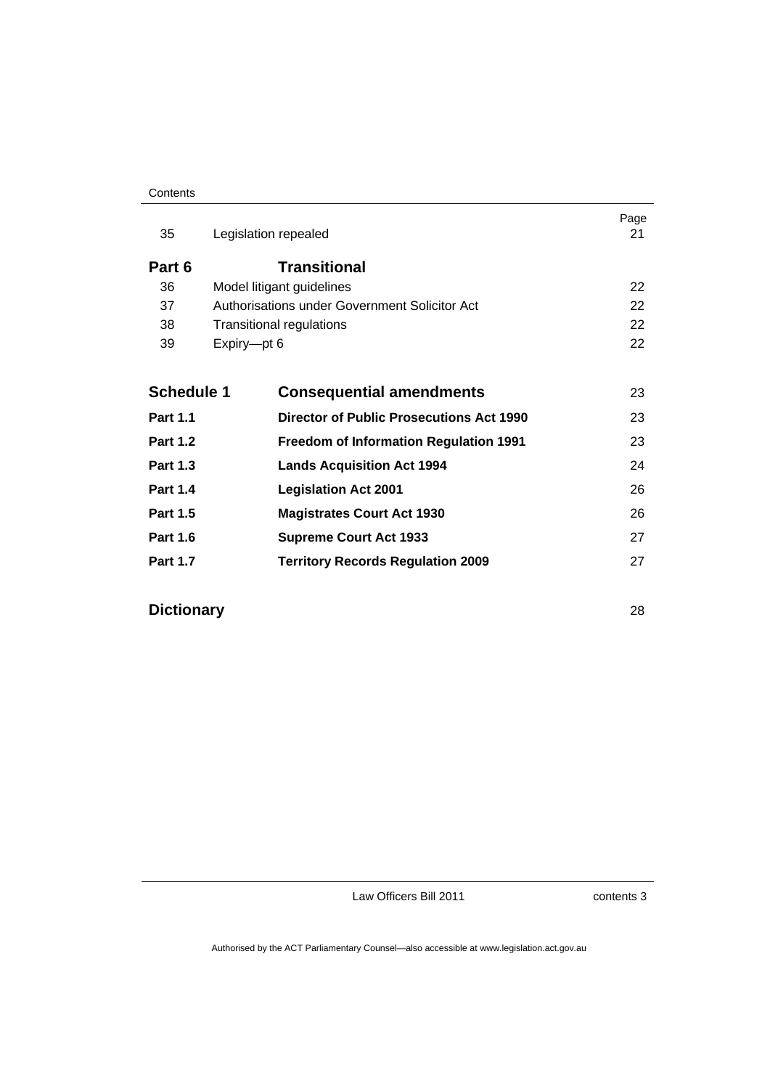#### **Contents**

| Legislation repealed                            | Page<br>21        |  |
|-------------------------------------------------|-------------------|--|
| <b>Transitional</b>                             |                   |  |
| Model litigant guidelines                       | 22                |  |
| Authorisations under Government Solicitor Act   | 22                |  |
| 38<br><b>Transitional regulations</b>           |                   |  |
| Expiry-pt 6                                     | 22                |  |
| <b>Consequential amendments</b>                 | 23                |  |
| <b>Director of Public Prosecutions Act 1990</b> | 23                |  |
| <b>Freedom of Information Regulation 1991</b>   | 23                |  |
| <b>Lands Acquisition Act 1994</b>               | 24                |  |
| <b>Legislation Act 2001</b>                     | 26                |  |
| <b>Magistrates Court Act 1930</b>               | 26                |  |
| <b>Supreme Court Act 1933</b>                   | 27                |  |
| <b>Territory Records Regulation 2009</b>        | 27                |  |
|                                                 | <b>Schedule 1</b> |  |

### **Dictionary** 28

Law Officers Bill 2011

contents 3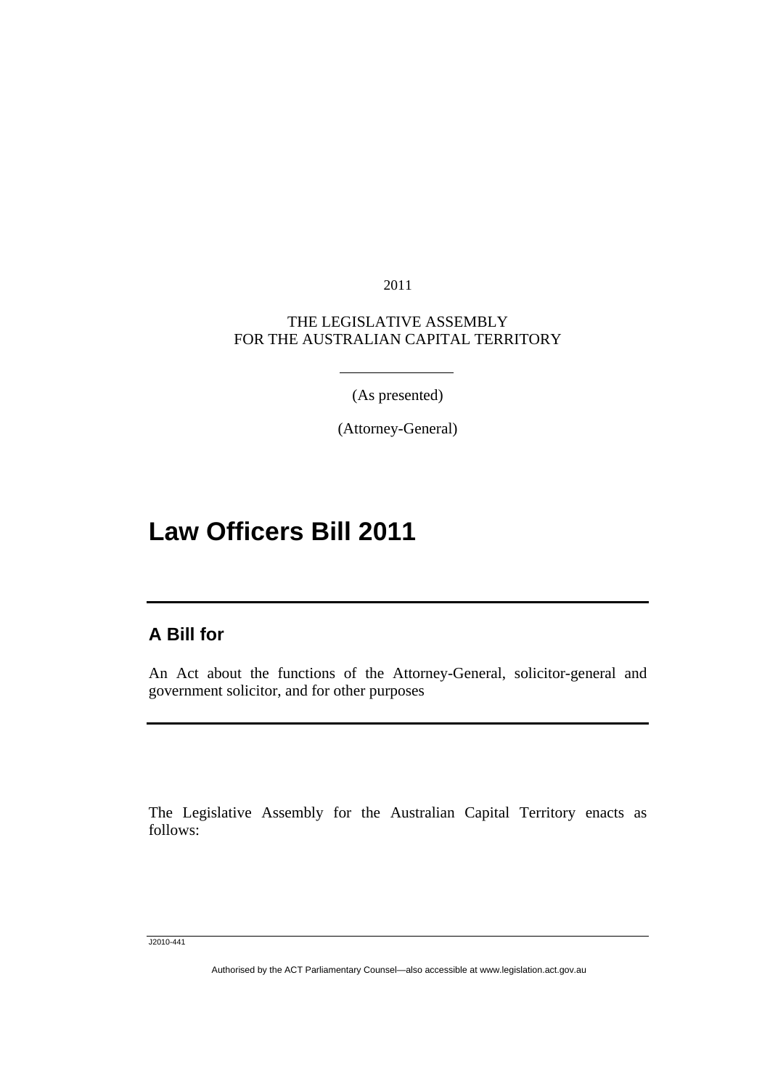2011

#### THE LEGISLATIVE ASSEMBLY FOR THE AUSTRALIAN CAPITAL TERRITORY

(As presented)

(Attorney-General)

# **Law Officers Bill 2011**

### **A Bill for**

Ī

An Act about the functions of the Attorney-General, solicitor-general and government solicitor, and for other purposes

The Legislative Assembly for the Australian Capital Territory enacts as follows:

J2010-441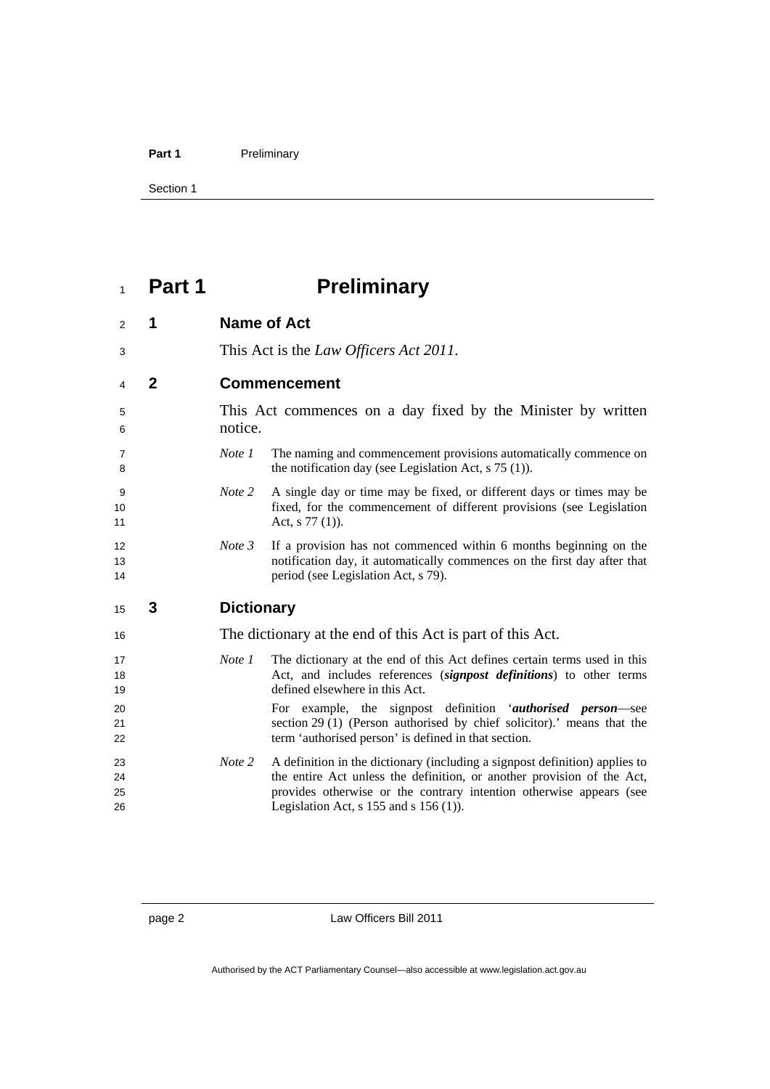#### Part 1 **Preliminary**

Section 1

# **Part 1 Preliminary**

| $\overline{2}$ | 1              |                   | <b>Name of Act</b>                                                                                                                                                                            |
|----------------|----------------|-------------------|-----------------------------------------------------------------------------------------------------------------------------------------------------------------------------------------------|
| 3              |                |                   | This Act is the <i>Law Officers Act 2011</i> .                                                                                                                                                |
| 4              | $\overline{2}$ |                   | <b>Commencement</b>                                                                                                                                                                           |
| 5<br>6         |                | notice.           | This Act commences on a day fixed by the Minister by written                                                                                                                                  |
| 7<br>8         |                | Note 1            | The naming and commencement provisions automatically commence on<br>the notification day (see Legislation Act, $s$ 75 (1)).                                                                   |
| 9<br>10<br>11  |                | Note 2            | A single day or time may be fixed, or different days or times may be<br>fixed, for the commencement of different provisions (see Legislation<br>Act, $s$ 77 (1)).                             |
| 12<br>13<br>14 |                | Note 3            | If a provision has not commenced within 6 months beginning on the<br>notification day, it automatically commences on the first day after that<br>period (see Legislation Act, s 79).          |
|                |                |                   |                                                                                                                                                                                               |
| 15             | 3              | <b>Dictionary</b> |                                                                                                                                                                                               |
| 16             |                |                   | The dictionary at the end of this Act is part of this Act.                                                                                                                                    |
| 17<br>18<br>19 |                | Note 1            | The dictionary at the end of this Act defines certain terms used in this<br>Act, and includes references (signpost definitions) to other terms<br>defined elsewhere in this Act.              |
| 20<br>21<br>22 |                |                   | For example, the signpost definition 'authorised person-see<br>section 29 (1) (Person authorised by chief solicitor).' means that the<br>term 'authorised person' is defined in that section. |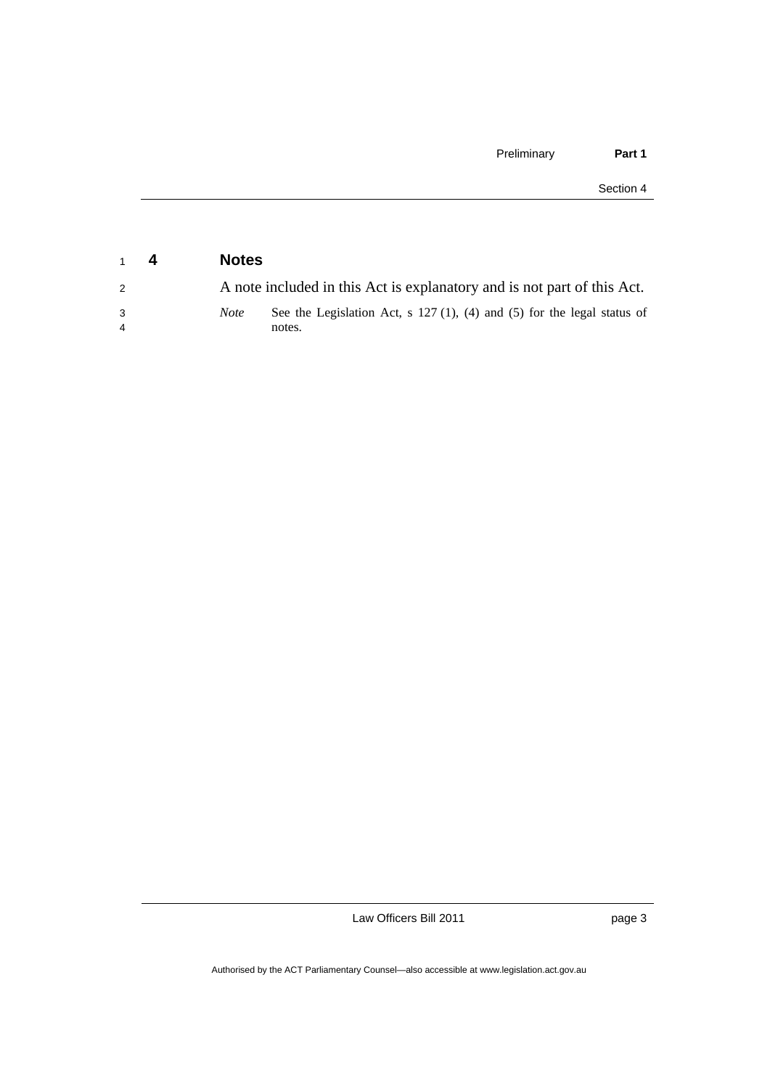| $1 \quad 4$         | <b>Notes</b> |                                                                                     |
|---------------------|--------------|-------------------------------------------------------------------------------------|
| 2                   |              | A note included in this Act is explanatory and is not part of this Act.             |
| 3<br>$\overline{4}$ | <i>Note</i>  | See the Legislation Act, s $127(1)$ , (4) and (5) for the legal status of<br>notes. |

page 3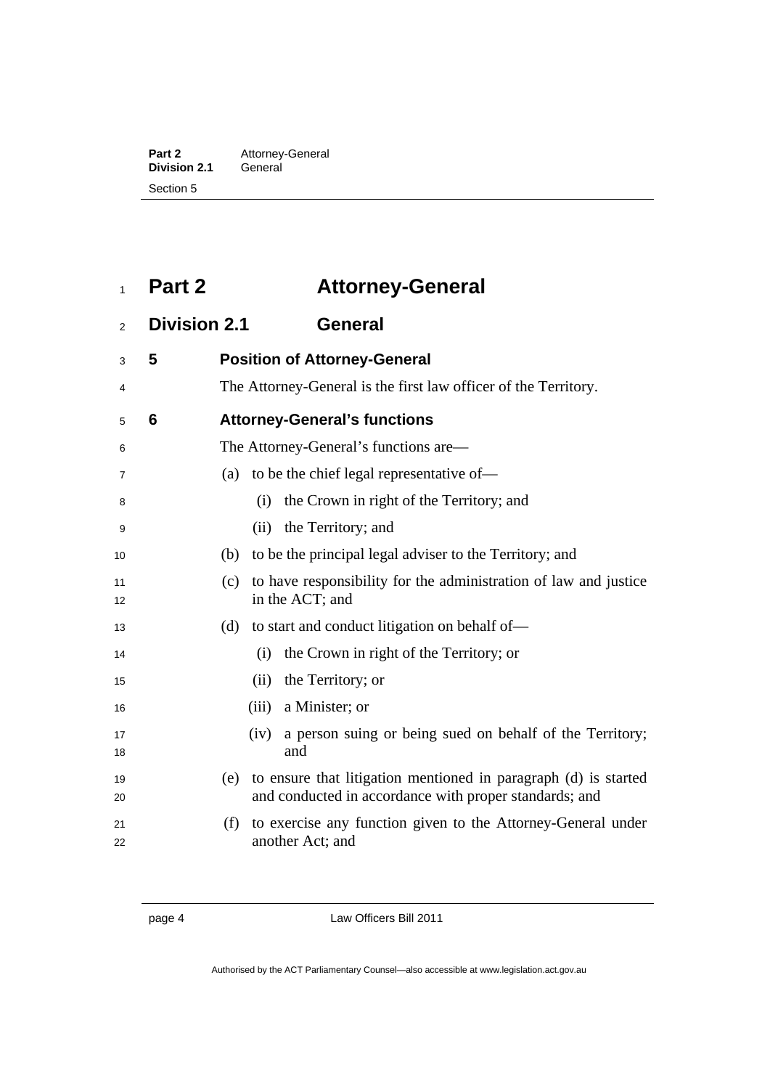| Part 2              | Attorney-General |
|---------------------|------------------|
| <b>Division 2.1</b> | General          |
| Section 5           |                  |

## <sup>1</sup>**Part 2 Attorney-General**

### <sup>2</sup>**Division 2.1 General**

| 3        | 5 | <b>Position of Attorney-General</b>                                                                                              |
|----------|---|----------------------------------------------------------------------------------------------------------------------------------|
| 4        |   | The Attorney-General is the first law officer of the Territory.                                                                  |
| 5        | 6 | <b>Attorney-General's functions</b>                                                                                              |
| 6        |   | The Attorney-General's functions are—                                                                                            |
| 7        |   | to be the chief legal representative of-<br>(a)                                                                                  |
| 8        |   | the Crown in right of the Territory; and<br>(i)                                                                                  |
| 9        |   | the Territory; and<br>(i)                                                                                                        |
| 10       |   | to be the principal legal adviser to the Territory; and<br>(b)                                                                   |
| 11<br>12 |   | to have responsibility for the administration of law and justice<br>(c)<br>in the ACT; and                                       |
| 13       |   | (d)<br>to start and conduct litigation on behalf of—                                                                             |
| 14       |   | the Crown in right of the Territory; or<br>(i)                                                                                   |
| 15       |   | the Territory; or<br>(ii)                                                                                                        |
| 16       |   | a Minister; or<br>(iii)                                                                                                          |
| 17<br>18 |   | a person suing or being sued on behalf of the Territory;<br>(iv)<br>and                                                          |
| 19<br>20 |   | to ensure that litigation mentioned in paragraph (d) is started<br>(e)<br>and conducted in accordance with proper standards; and |
| 21<br>22 |   | (f)<br>to exercise any function given to the Attorney-General under<br>another Act; and                                          |

page 4 Law Officers Bill 2011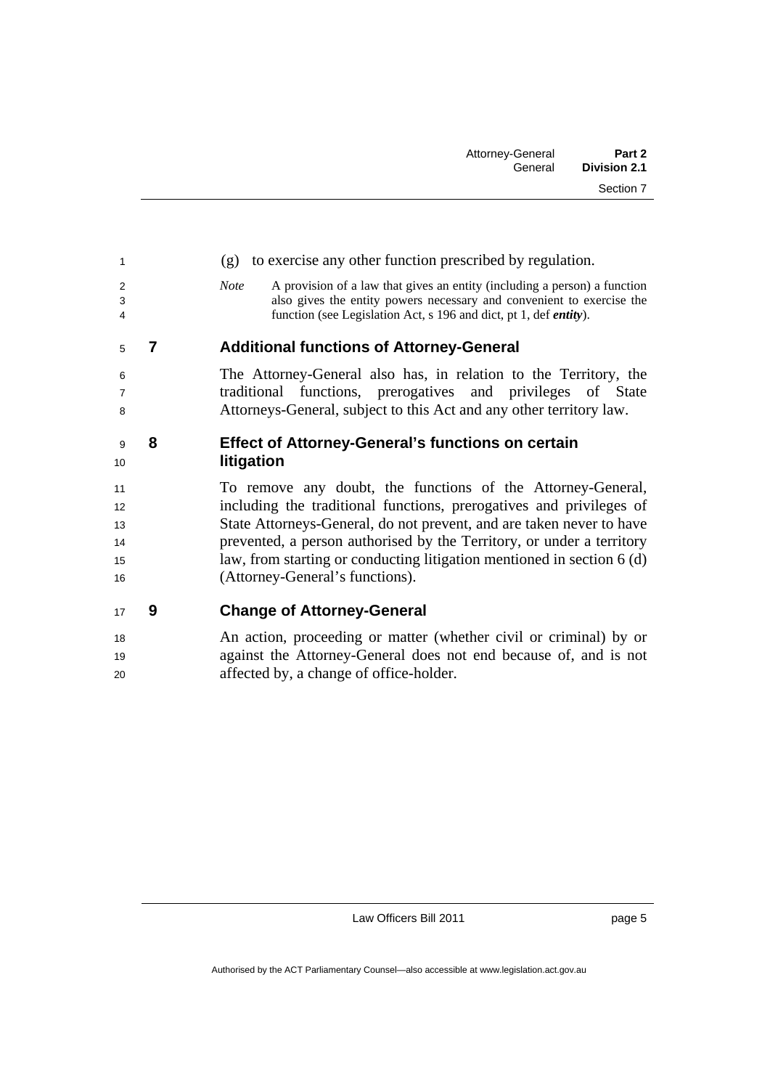| 1                                |   | to exercise any other function prescribed by regulation.<br>(g)                                                                                                                                                                                                                                                                                                                                  |
|----------------------------------|---|--------------------------------------------------------------------------------------------------------------------------------------------------------------------------------------------------------------------------------------------------------------------------------------------------------------------------------------------------------------------------------------------------|
| $\overline{2}$<br>3<br>4         |   | A provision of a law that gives an entity (including a person) a function<br><b>Note</b><br>also gives the entity powers necessary and convenient to exercise the<br>function (see Legislation Act, s 196 and dict, pt 1, def <i>entity</i> ).                                                                                                                                                   |
| 5                                | 7 | <b>Additional functions of Attorney-General</b>                                                                                                                                                                                                                                                                                                                                                  |
| 6<br>$\overline{7}$<br>8         |   | The Attorney-General also has, in relation to the Territory, the<br>traditional functions, prerogatives and privileges of State<br>Attorneys-General, subject to this Act and any other territory law.                                                                                                                                                                                           |
| 9<br>10                          | 8 | <b>Effect of Attorney-General's functions on certain</b><br>litigation                                                                                                                                                                                                                                                                                                                           |
| 11<br>12<br>13<br>14<br>15<br>16 |   | To remove any doubt, the functions of the Attorney-General,<br>including the traditional functions, prerogatives and privileges of<br>State Attorneys-General, do not prevent, and are taken never to have<br>prevented, a person authorised by the Territory, or under a territory<br>law, from starting or conducting litigation mentioned in section 6 (d)<br>(Attorney-General's functions). |
| 17                               | 9 | <b>Change of Attorney-General</b>                                                                                                                                                                                                                                                                                                                                                                |
| 18                               |   | An action, proceeding or matter (whether civil or criminal) by or                                                                                                                                                                                                                                                                                                                                |

19 against the Attorney-General does not end because of, and is not

20 affected by, a change of office-holder.

Law Officers Bill 2011

page 5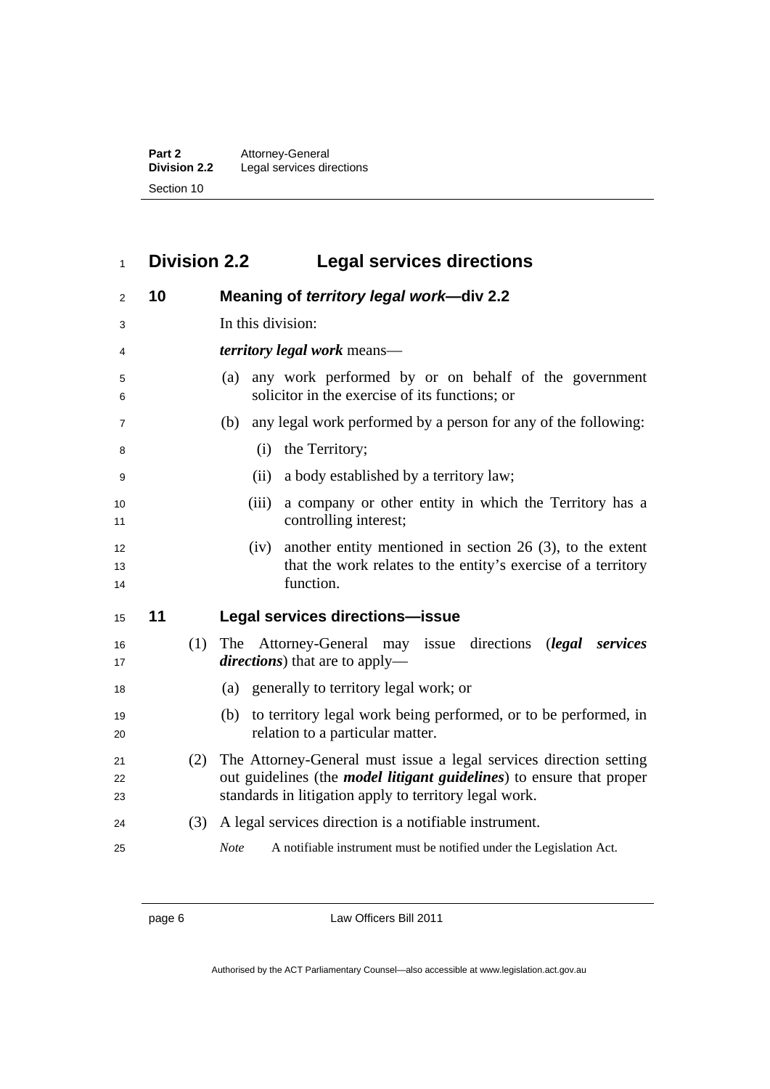| Part 2              | Attorney-General          |
|---------------------|---------------------------|
| <b>Division 2.2</b> | Legal services directions |
| Section 10          |                           |

## <sup>1</sup>**Division 2.2 Legal services directions**

| 2              | 10 |     | Meaning of territory legal work-div 2.2                                                                                                                                                                      |
|----------------|----|-----|--------------------------------------------------------------------------------------------------------------------------------------------------------------------------------------------------------------|
| 3              |    |     | In this division:                                                                                                                                                                                            |
| 4              |    |     | <i>territory legal work</i> means—                                                                                                                                                                           |
| 5<br>6         |    |     | any work performed by or on behalf of the government<br>(a)<br>solicitor in the exercise of its functions; or                                                                                                |
| $\overline{7}$ |    |     | any legal work performed by a person for any of the following:<br>(b)                                                                                                                                        |
| 8              |    |     | the Territory;<br>(i)                                                                                                                                                                                        |
| 9              |    |     | a body established by a territory law;<br>(ii)                                                                                                                                                               |
| 10<br>11       |    |     | a company or other entity in which the Territory has a<br>(iii)<br>controlling interest;                                                                                                                     |
| 12<br>13<br>14 |    |     | another entity mentioned in section 26 $(3)$ , to the extent<br>(iv)<br>that the work relates to the entity's exercise of a territory<br>function.                                                           |
| 15             | 11 |     | Legal services directions-issue                                                                                                                                                                              |
| 16<br>17       |    | (1) | Attorney-General may issue directions<br>The<br>( <i>legal</i> services<br><i>directions</i> ) that are to apply—                                                                                            |
| 18             |    |     | (a) generally to territory legal work; or                                                                                                                                                                    |
| 19<br>20       |    |     | to territory legal work being performed, or to be performed, in<br>(b)<br>relation to a particular matter.                                                                                                   |
| 21<br>22<br>23 |    | (2) | The Attorney-General must issue a legal services direction setting<br>out guidelines (the <i>model litigant guidelines</i> ) to ensure that proper<br>standards in litigation apply to territory legal work. |
| 24             |    | (3) | A legal services direction is a notifiable instrument.                                                                                                                                                       |
| 25             |    |     | <b>Note</b><br>A notifiable instrument must be notified under the Legislation Act.                                                                                                                           |

page 6 Law Officers Bill 2011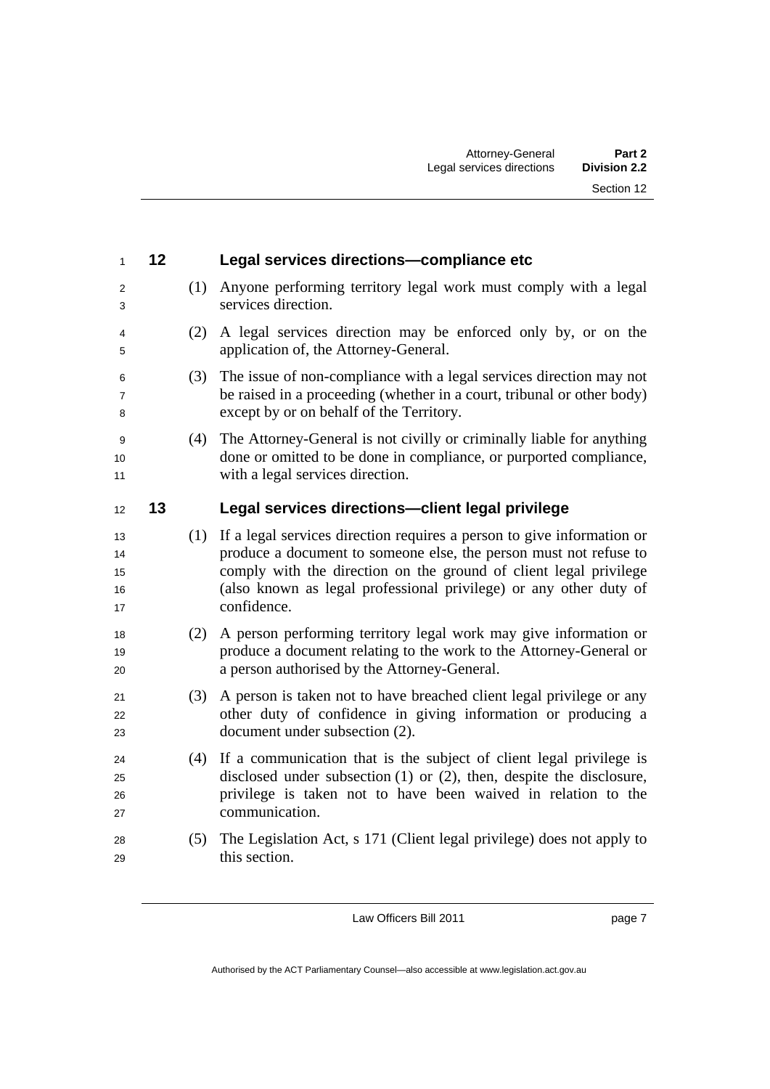| 1                          | 12 |     | Legal services directions-compliance etc                                                                                                                                                                                                                                                             |
|----------------------------|----|-----|------------------------------------------------------------------------------------------------------------------------------------------------------------------------------------------------------------------------------------------------------------------------------------------------------|
| 2<br>3                     |    | (1) | Anyone performing territory legal work must comply with a legal<br>services direction.                                                                                                                                                                                                               |
| 4<br>5                     |    | (2) | A legal services direction may be enforced only by, or on the<br>application of, the Attorney-General.                                                                                                                                                                                               |
| 6<br>7<br>8                |    | (3) | The issue of non-compliance with a legal services direction may not<br>be raised in a proceeding (whether in a court, tribunal or other body)<br>except by or on behalf of the Territory.                                                                                                            |
| 9<br>10<br>11              |    | (4) | The Attorney-General is not civilly or criminally liable for anything<br>done or omitted to be done in compliance, or purported compliance,<br>with a legal services direction.                                                                                                                      |
| 12                         | 13 |     | Legal services directions-client legal privilege                                                                                                                                                                                                                                                     |
| 13<br>14<br>15<br>16<br>17 |    | (1) | If a legal services direction requires a person to give information or<br>produce a document to someone else, the person must not refuse to<br>comply with the direction on the ground of client legal privilege<br>(also known as legal professional privilege) or any other duty of<br>confidence. |
| 18<br>19<br>20             |    | (2) | A person performing territory legal work may give information or<br>produce a document relating to the work to the Attorney-General or<br>a person authorised by the Attorney-General.                                                                                                               |
| 21<br>22<br>23             |    | (3) | A person is taken not to have breached client legal privilege or any<br>other duty of confidence in giving information or producing a<br>document under subsection (2).                                                                                                                              |
| 24<br>25<br>26<br>27       |    | (4) | If a communication that is the subject of client legal privilege is<br>disclosed under subsection $(1)$ or $(2)$ , then, despite the disclosure,<br>privilege is taken not to have been waived in relation to the<br>communication.                                                                  |
| 28<br>29                   |    | (5) | The Legislation Act, s 171 (Client legal privilege) does not apply to<br>this section.                                                                                                                                                                                                               |

page 7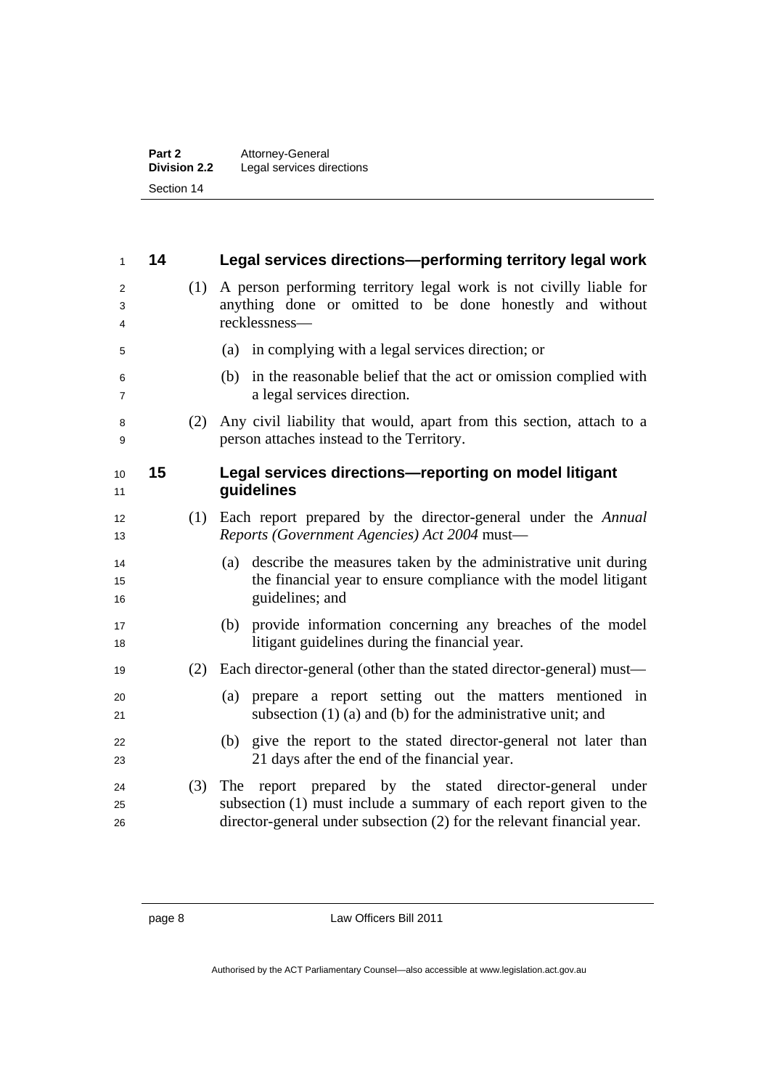| Part 2<br><b>Division 2.2</b> | Attorney-General<br>Legal services directions |
|-------------------------------|-----------------------------------------------|
|                               |                                               |
| Section 14                    |                                               |

| $\mathbf{1}$   | 14 |     | Legal services directions-performing territory legal work                                                                                                                                                  |
|----------------|----|-----|------------------------------------------------------------------------------------------------------------------------------------------------------------------------------------------------------------|
| 2<br>3<br>4    |    | (1) | A person performing territory legal work is not civilly liable for<br>anything done or omitted to be done honestly and without<br>recklessness-                                                            |
| 5              |    |     | in complying with a legal services direction; or<br>(a)                                                                                                                                                    |
| 6<br>7         |    |     | in the reasonable belief that the act or omission complied with<br>(b)<br>a legal services direction.                                                                                                      |
| 8<br>9         |    | (2) | Any civil liability that would, apart from this section, attach to a<br>person attaches instead to the Territory.                                                                                          |
| 10<br>11       | 15 |     | Legal services directions-reporting on model litigant<br>guidelines                                                                                                                                        |
| 12<br>13       |    | (1) | Each report prepared by the director-general under the Annual<br>Reports (Government Agencies) Act 2004 must-                                                                                              |
| 14<br>15<br>16 |    |     | (a) describe the measures taken by the administrative unit during<br>the financial year to ensure compliance with the model litigant<br>guidelines; and                                                    |
| 17<br>18       |    |     | provide information concerning any breaches of the model<br>(b)<br>litigant guidelines during the financial year.                                                                                          |
| 19             |    | (2) | Each director-general (other than the stated director-general) must—                                                                                                                                       |
| 20<br>21       |    |     | prepare a report setting out the matters mentioned in<br>(a)<br>subsection $(1)$ (a) and (b) for the administrative unit; and                                                                              |
| 22<br>23       |    |     | (b) give the report to the stated director-general not later than<br>21 days after the end of the financial year.                                                                                          |
| 24<br>25<br>26 |    | (3) | report prepared by the stated director-general under<br>The<br>subsection (1) must include a summary of each report given to the<br>director-general under subsection (2) for the relevant financial year. |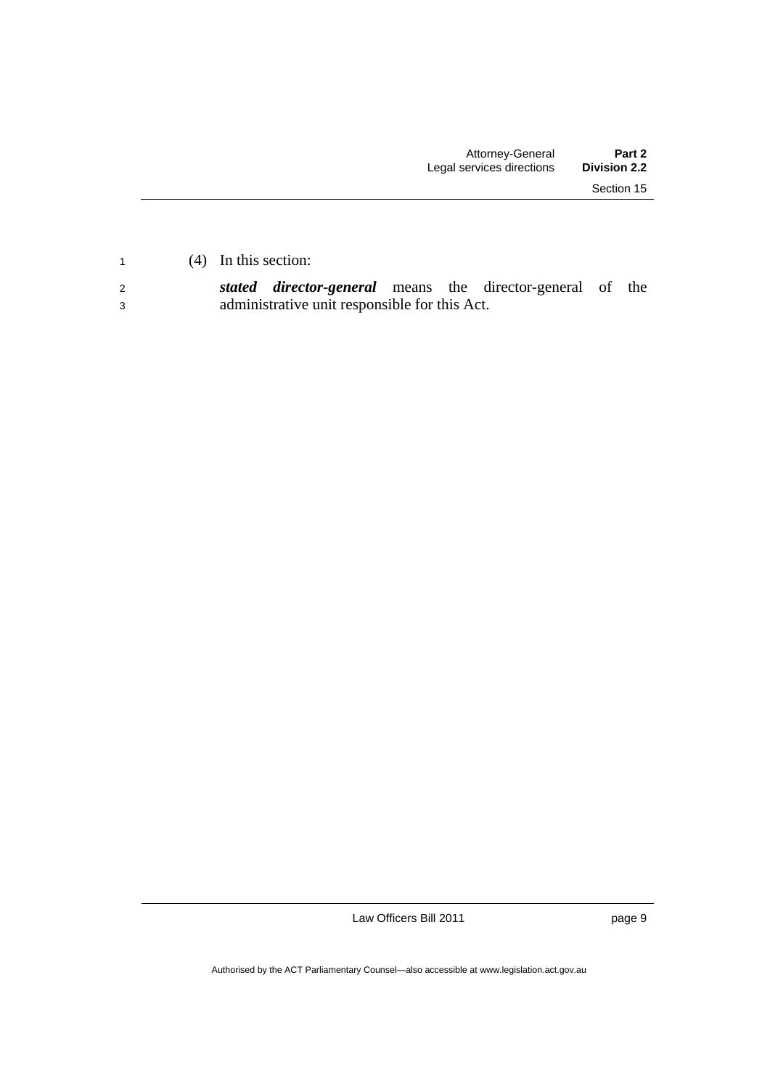<sup>2</sup>*stated director-general* means the director-general of the 3 administrative unit responsible for this Act.

Law Officers Bill 2011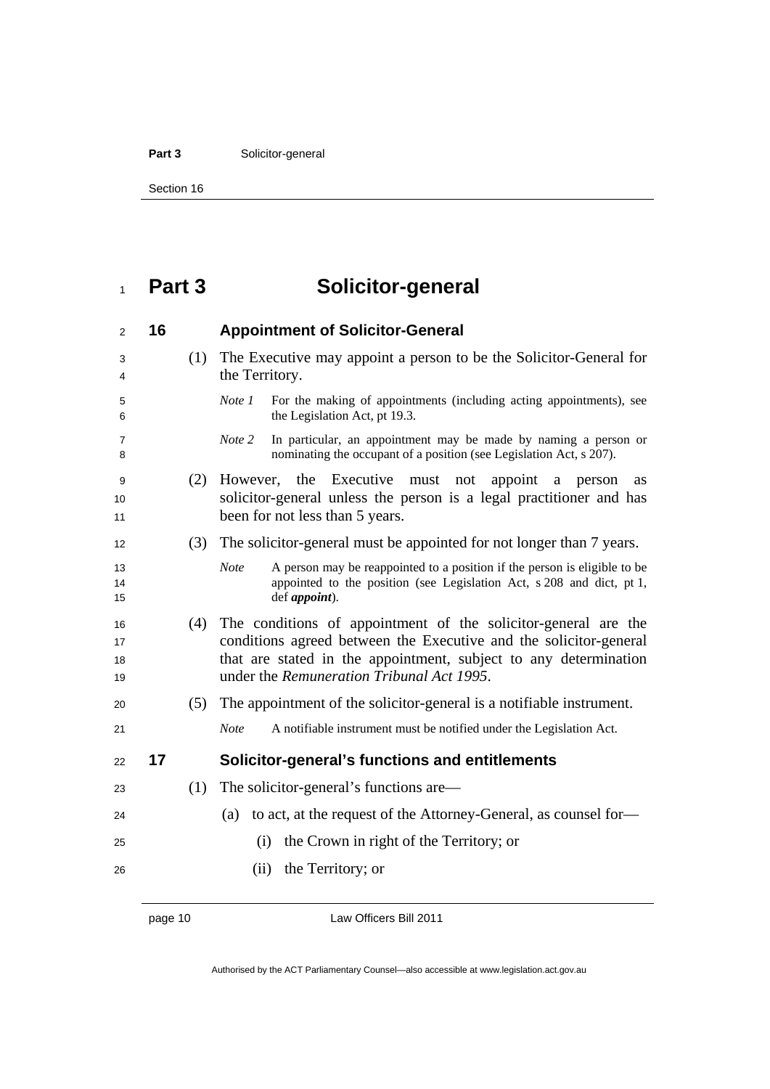#### Part 3 **Solicitor-general**

Section 16

## **Part 3 Solicitor-general**

| 2                    | 16 |     | <b>Appointment of Solicitor-General</b>                                                                                                                                                                                                              |
|----------------------|----|-----|------------------------------------------------------------------------------------------------------------------------------------------------------------------------------------------------------------------------------------------------------|
| 3<br>4               |    | (1) | The Executive may appoint a person to be the Solicitor-General for<br>the Territory.                                                                                                                                                                 |
| 5<br>6               |    |     | Note 1<br>For the making of appointments (including acting appointments), see<br>the Legislation Act, pt 19.3.                                                                                                                                       |
| 7<br>8               |    |     | Note 2<br>In particular, an appointment may be made by naming a person or<br>nominating the occupant of a position (see Legislation Act, s 207).                                                                                                     |
| 9<br>10<br>11        |    | (2) | Executive<br>the<br>However,<br>must<br>appoint<br>not<br>a<br>person<br>as<br>solicitor-general unless the person is a legal practitioner and has<br>been for not less than 5 years.                                                                |
| 12                   |    | (3) | The solicitor-general must be appointed for not longer than 7 years.                                                                                                                                                                                 |
| 13<br>14<br>15       |    |     | A person may be reappointed to a position if the person is eligible to be<br><b>Note</b><br>appointed to the position (see Legislation Act, s 208 and dict, pt 1,<br>def <i>appoint</i> ).                                                           |
| 16<br>17<br>18<br>19 |    | (4) | The conditions of appointment of the solicitor-general are the<br>conditions agreed between the Executive and the solicitor-general<br>that are stated in the appointment, subject to any determination<br>under the Remuneration Tribunal Act 1995. |
| 20                   |    | (5) | The appointment of the solicitor-general is a notifiable instrument.                                                                                                                                                                                 |
| 21                   |    |     | A notifiable instrument must be notified under the Legislation Act.<br><b>Note</b>                                                                                                                                                                   |
| 22                   | 17 |     | Solicitor-general's functions and entitlements                                                                                                                                                                                                       |
| 23                   |    | (1) | The solicitor-general's functions are—                                                                                                                                                                                                               |
| 24                   |    |     | to act, at the request of the Attorney-General, as counsel for-<br>(a)                                                                                                                                                                               |
| 25                   |    |     | the Crown in right of the Territory; or<br>(i)                                                                                                                                                                                                       |
| 26                   |    |     | the Territory; or<br>(ii)                                                                                                                                                                                                                            |
|                      |    |     |                                                                                                                                                                                                                                                      |

page 10 Law Officers Bill 2011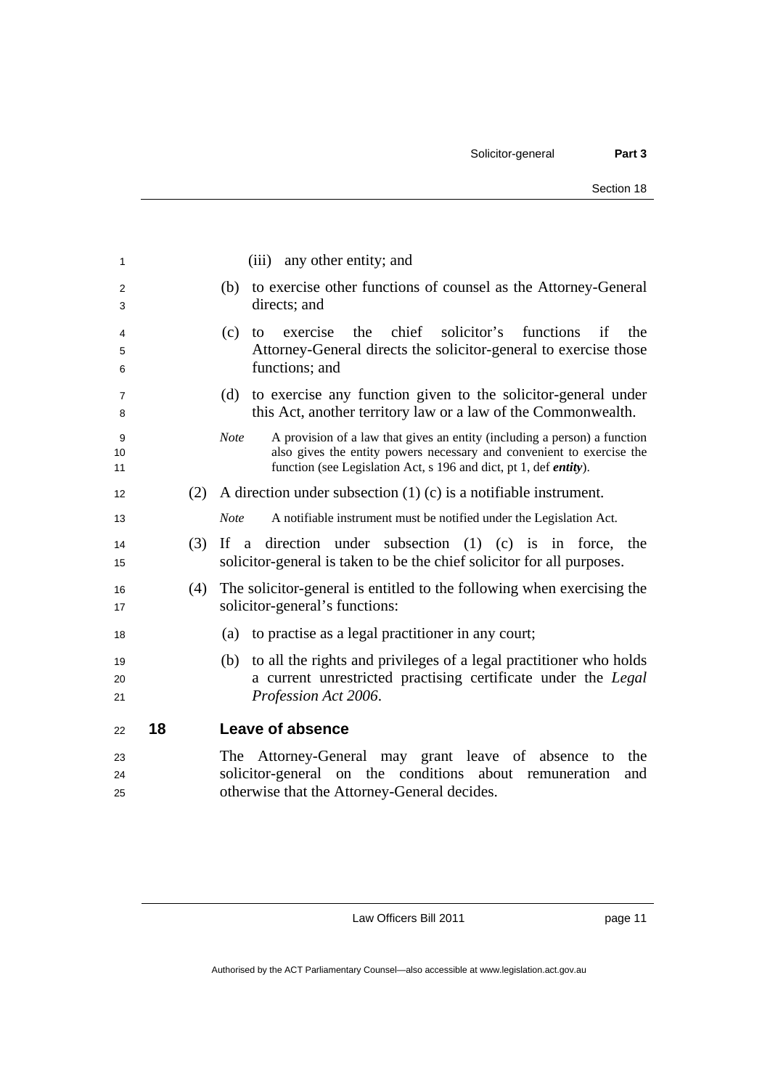| 1        |    |     | any other entity; and<br>(iii)                                                                                                                     |
|----------|----|-----|----------------------------------------------------------------------------------------------------------------------------------------------------|
| 2        |    |     | to exercise other functions of counsel as the Attorney-General<br>(b)                                                                              |
| 3        |    |     | directs; and                                                                                                                                       |
| 4        |    |     | chief<br>solicitor's<br>functions<br>(c)<br>exercise<br>the<br>if<br>the<br>to                                                                     |
| 5        |    |     | Attorney-General directs the solicitor-general to exercise those<br>functions; and                                                                 |
| 6        |    |     |                                                                                                                                                    |
| 7<br>8   |    |     | (d) to exercise any function given to the solicitor-general under<br>this Act, another territory law or a law of the Commonwealth.                 |
| 9        |    |     | A provision of a law that gives an entity (including a person) a function<br><b>Note</b>                                                           |
| 10<br>11 |    |     | also gives the entity powers necessary and convenient to exercise the<br>function (see Legislation Act, s 196 and dict, pt 1, def <i>entity</i> ). |
| 12       |    | (2) | A direction under subsection $(1)$ (c) is a notifiable instrument.                                                                                 |
| 13       |    |     | <b>Note</b><br>A notifiable instrument must be notified under the Legislation Act.                                                                 |
| 14<br>15 |    | (3) | If a direction under subsection $(1)$ $(c)$ is in force, the<br>solicitor-general is taken to be the chief solicitor for all purposes.             |
| 16<br>17 |    | (4) | The solicitor-general is entitled to the following when exercising the<br>solicitor-general's functions:                                           |
| 18       |    |     | to practise as a legal practitioner in any court;<br>(a)                                                                                           |
| 19       |    |     | to all the rights and privileges of a legal practitioner who holds<br>(b)                                                                          |
| 20       |    |     | a current unrestricted practising certificate under the Legal                                                                                      |
| 21       |    |     | Profession Act 2006.                                                                                                                               |
| 22       | 18 |     | <b>Leave of absence</b>                                                                                                                            |
| 23       |    |     | The Attorney-General may grant leave of absence to<br>the                                                                                          |
| 24       |    |     | solicitor-general on the conditions about remuneration<br>and                                                                                      |
| 25       |    |     | otherwise that the Attorney-General decides.                                                                                                       |

page 11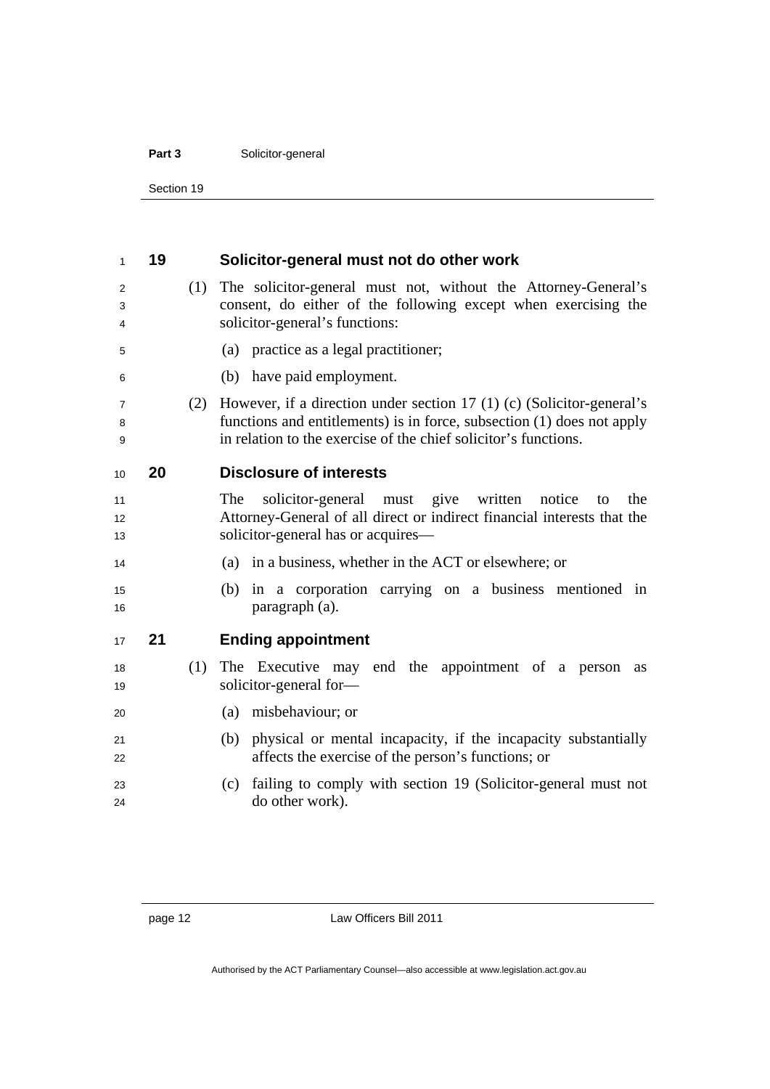#### Part 3 **Solicitor-general**

Section 19

| 1                             | 19 |     | Solicitor-general must not do other work                                                                                                                                                                           |
|-------------------------------|----|-----|--------------------------------------------------------------------------------------------------------------------------------------------------------------------------------------------------------------------|
| 2<br>3<br>4                   |    | (1) | The solicitor-general must not, without the Attorney-General's<br>consent, do either of the following except when exercising the<br>solicitor-general's functions:                                                 |
| 5                             |    |     | (a) practice as a legal practitioner;                                                                                                                                                                              |
| 6                             |    |     | (b) have paid employment.                                                                                                                                                                                          |
| 7<br>8<br>9                   |    | (2) | However, if a direction under section 17 (1) (c) (Solicitor-general's<br>functions and entitlements) is in force, subsection (1) does not apply<br>in relation to the exercise of the chief solicitor's functions. |
| 10                            | 20 |     | <b>Disclosure of interests</b>                                                                                                                                                                                     |
| 11<br>$12 \overline{ }$<br>13 |    |     | solicitor-general must give<br>written<br>The<br>notice<br>the<br>to<br>Attorney-General of all direct or indirect financial interests that the<br>solicitor-general has or acquires—                              |
| 14                            |    |     | (a) in a business, whether in the ACT or elsewhere; or                                                                                                                                                             |
| 15<br>16                      |    |     | (b) in a corporation carrying on a business mentioned in<br>paragraph (a).                                                                                                                                         |
| 17                            | 21 |     | <b>Ending appointment</b>                                                                                                                                                                                          |
| 18<br>19                      |    | (1) | The Executive may end the appointment of a person<br>as<br>solicitor-general for-                                                                                                                                  |
| 20                            |    |     | (a) misbehaviour; or                                                                                                                                                                                               |
| 21<br>22                      |    |     | physical or mental incapacity, if the incapacity substantially<br>(b)<br>affects the exercise of the person's functions; or                                                                                        |
| 23<br>24                      |    |     | failing to comply with section 19 (Solicitor-general must not<br>(c)<br>do other work).                                                                                                                            |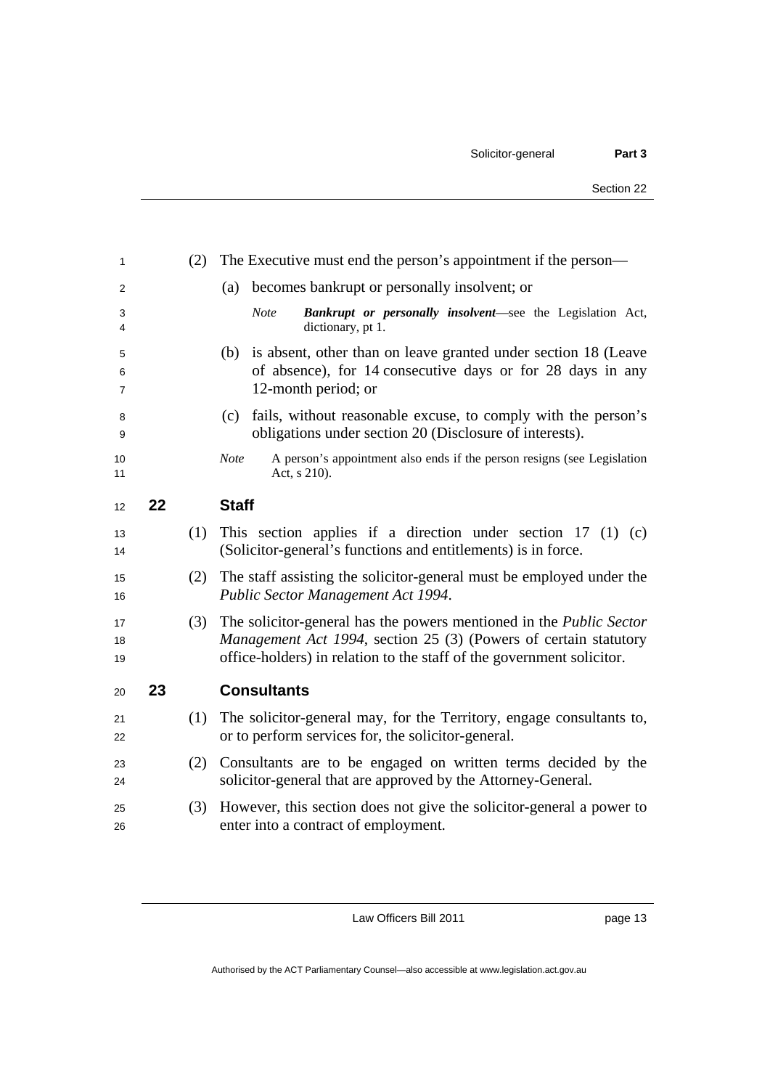|    | (2) | The Executive must end the person's appointment if the person—                                                                                                                                                          |
|----|-----|-------------------------------------------------------------------------------------------------------------------------------------------------------------------------------------------------------------------------|
|    |     | becomes bankrupt or personally insolvent; or<br>(a)                                                                                                                                                                     |
|    |     | Bankrupt or personally insolvent-see the Legislation Act,<br><b>Note</b><br>dictionary, pt 1.                                                                                                                           |
|    |     | is absent, other than on leave granted under section 18 (Leave<br>(b)<br>of absence), for 14 consecutive days or for 28 days in any<br>12-month period; or                                                              |
|    |     | fails, without reasonable excuse, to comply with the person's<br>(c)<br>obligations under section 20 (Disclosure of interests).                                                                                         |
|    |     | <b>Note</b><br>A person's appointment also ends if the person resigns (see Legislation<br>Act, s 210).                                                                                                                  |
| 22 |     | <b>Staff</b>                                                                                                                                                                                                            |
|    | (1) | This section applies if a direction under section 17 (1) (c)<br>(Solicitor-general's functions and entitlements) is in force.                                                                                           |
|    | (2) | The staff assisting the solicitor-general must be employed under the<br>Public Sector Management Act 1994.                                                                                                              |
|    | (3) | The solicitor-general has the powers mentioned in the <i>Public Sector</i><br>Management Act 1994, section 25 (3) (Powers of certain statutory<br>office-holders) in relation to the staff of the government solicitor. |
| 23 |     | <b>Consultants</b>                                                                                                                                                                                                      |
|    | (1) | The solicitor-general may, for the Territory, engage consultants to,<br>or to perform services for, the solicitor-general.                                                                                              |
|    | (2) | Consultants are to be engaged on written terms decided by the<br>solicitor-general that are approved by the Attorney-General.                                                                                           |
|    | (3) | However, this section does not give the solicitor-general a power to<br>enter into a contract of employment.                                                                                                            |
|    |     |                                                                                                                                                                                                                         |

page 13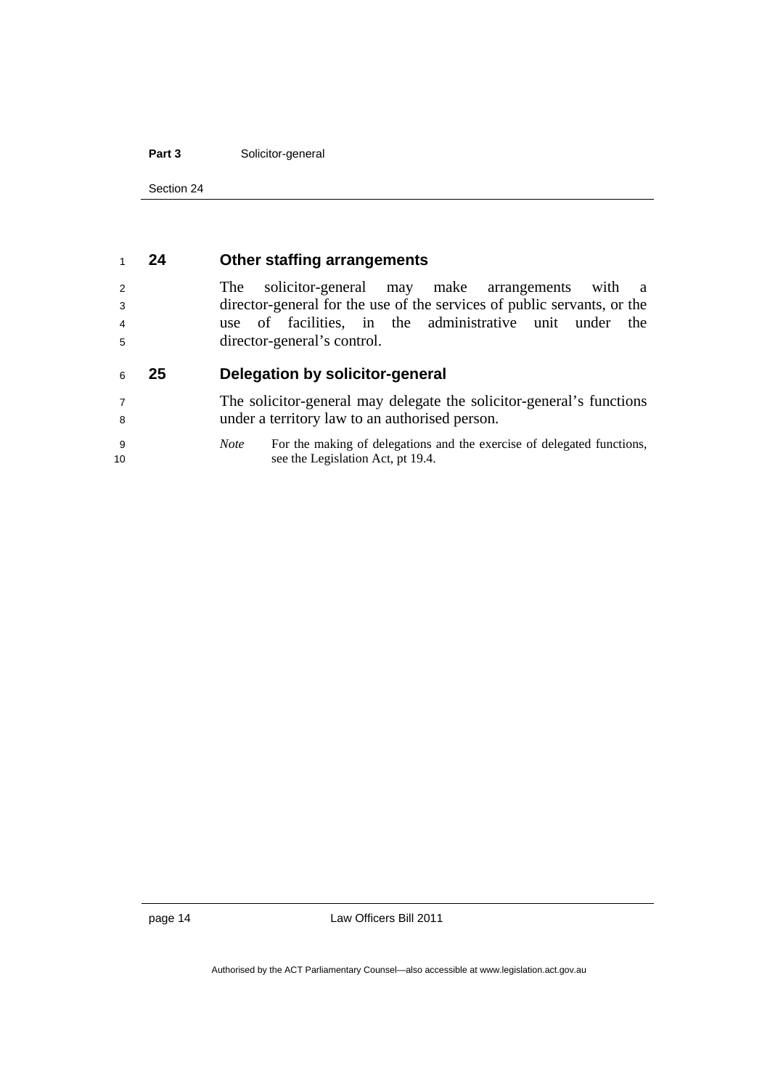#### Part 3 **Solicitor-general**

Section 24

#### **24 Other staffing arrangements**

The solicitor-general may make arrangements with a director-general for the use of the services of public servants, or the use of facilities, in the administrative unit under the director-general's control.

#### **25 Delegation by solicitor-general**

The solicitor-general may delegate the solicitor-general's functions under a territory law to an authorised person.

*Note* For the making of delegations and the exercise of delegated functions, 10 see the Legislation Act, pt 19.4.

page 14 Law Officers Bill 2011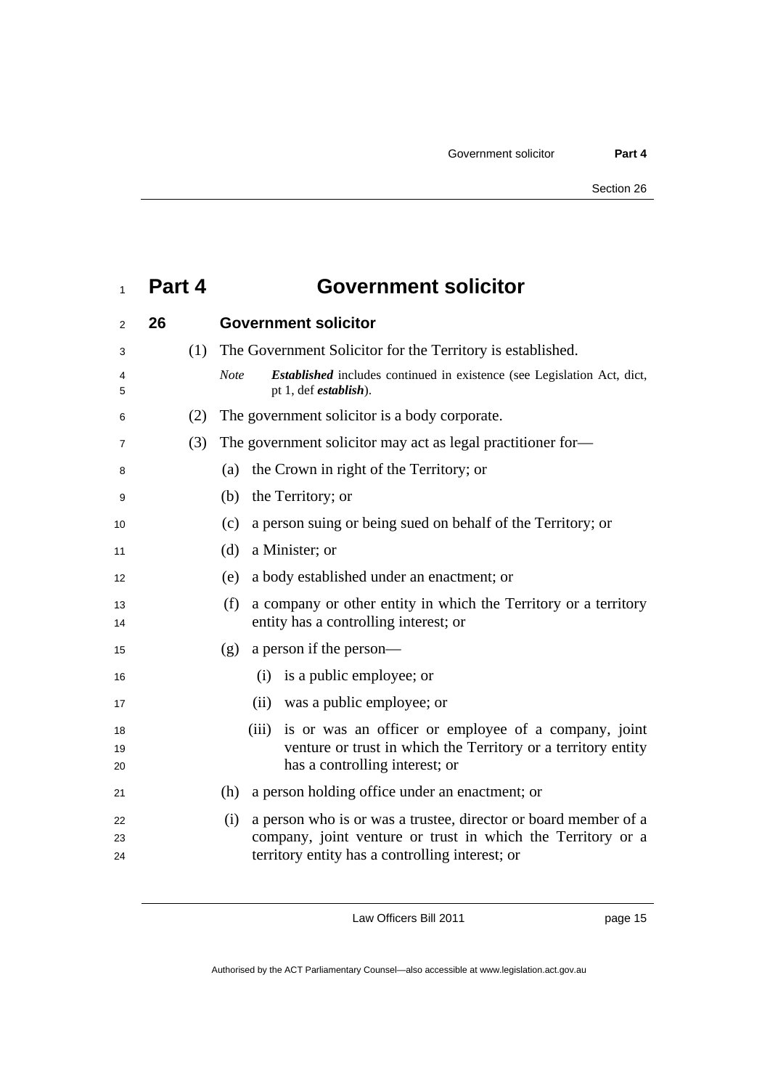### **Part 4 Government solicitor**

| 2              | 26  | <b>Government solicitor</b>                                                                                                                                                              |
|----------------|-----|------------------------------------------------------------------------------------------------------------------------------------------------------------------------------------------|
| 3              | (1) | The Government Solicitor for the Territory is established.                                                                                                                               |
| 4<br>5         |     | <i>Established</i> includes continued in existence (see Legislation Act, dict,<br><b>Note</b><br>pt 1, def <i>establish</i> ).                                                           |
| 6              | (2) | The government solicitor is a body corporate.                                                                                                                                            |
| 7              | (3) | The government solicitor may act as legal practitioner for-                                                                                                                              |
| 8              |     | the Crown in right of the Territory; or<br>(a)                                                                                                                                           |
| 9              |     | the Territory; or<br>(b)                                                                                                                                                                 |
| 10             |     | a person suing or being sued on behalf of the Territory; or<br>(c)                                                                                                                       |
| 11             |     | a Minister; or<br>(d)                                                                                                                                                                    |
| 12             |     | a body established under an enactment; or<br>(e)                                                                                                                                         |
| 13<br>14       |     | a company or other entity in which the Territory or a territory<br>(f)<br>entity has a controlling interest; or                                                                          |
| 15             |     | a person if the person—<br>(g)                                                                                                                                                           |
| 16             |     | is a public employee; or<br>(i)                                                                                                                                                          |
| 17             |     | was a public employee; or<br>(ii)                                                                                                                                                        |
| 18<br>19<br>20 |     | is or was an officer or employee of a company, joint<br>(iii)<br>venture or trust in which the Territory or a territory entity<br>has a controlling interest; or                         |
| 21             |     | (h)<br>a person holding office under an enactment; or                                                                                                                                    |
| 22<br>23<br>24 |     | a person who is or was a trustee, director or board member of a<br>(i)<br>company, joint venture or trust in which the Territory or a<br>territory entity has a controlling interest; or |

Law Officers Bill 2011

page 15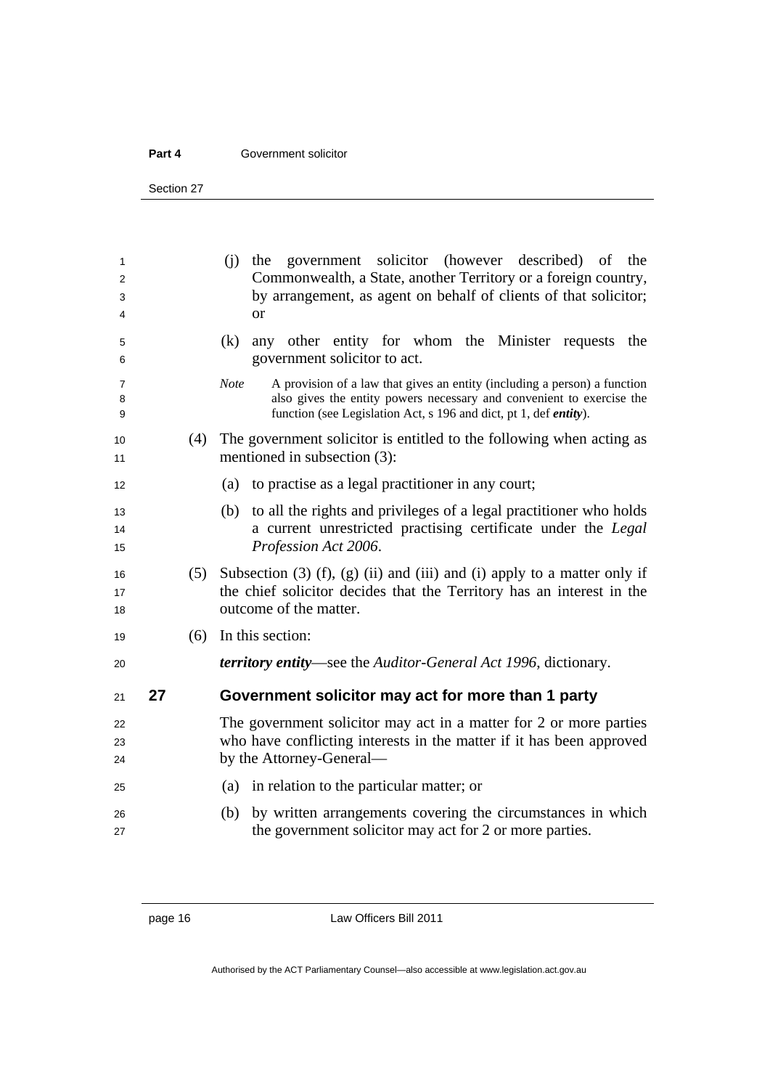#### **Part 4 Government solicitor**

Section 27

| 1<br>2<br>3<br>4 |    |     | (i) the government solicitor (however described) of<br>the<br>Commonwealth, a State, another Territory or a foreign country,<br>by arrangement, as agent on behalf of clients of that solicitor;<br>or                                  |
|------------------|----|-----|-----------------------------------------------------------------------------------------------------------------------------------------------------------------------------------------------------------------------------------------|
| 5<br>6           |    |     | any other entity for whom the Minister requests the<br>(k)<br>government solicitor to act.                                                                                                                                              |
| 7<br>8<br>9      |    |     | Note<br>A provision of a law that gives an entity (including a person) a function<br>also gives the entity powers necessary and convenient to exercise the<br>function (see Legislation Act, s 196 and dict, pt 1, def <i>entity</i> ). |
| 10<br>11         |    | (4) | The government solicitor is entitled to the following when acting as<br>mentioned in subsection (3):                                                                                                                                    |
| 12               |    |     | (a) to practise as a legal practitioner in any court;                                                                                                                                                                                   |
| 13<br>14<br>15   |    |     | (b) to all the rights and privileges of a legal practitioner who holds<br>a current unrestricted practising certificate under the Legal<br>Profession Act 2006.                                                                         |
| 16<br>17<br>18   |    | (5) | Subsection $(3)$ $(f)$ , $(g)$ $(ii)$ and $(ii)$ and $(i)$ apply to a matter only if<br>the chief solicitor decides that the Territory has an interest in the<br>outcome of the matter.                                                 |
| 19               |    | (6) | In this section:                                                                                                                                                                                                                        |
| 20               |    |     | <i>territory entity—see the Auditor-General Act 1996, dictionary.</i>                                                                                                                                                                   |
| 21               | 27 |     | Government solicitor may act for more than 1 party                                                                                                                                                                                      |
| 22<br>23<br>24   |    |     | The government solicitor may act in a matter for 2 or more parties<br>who have conflicting interests in the matter if it has been approved<br>by the Attorney-General-                                                                  |
| 25               |    |     | (a) in relation to the particular matter; or                                                                                                                                                                                            |
| 26<br>27         |    |     | by written arrangements covering the circumstances in which<br>(b)<br>the government solicitor may act for 2 or more parties.                                                                                                           |

page 16 Law Officers Bill 2011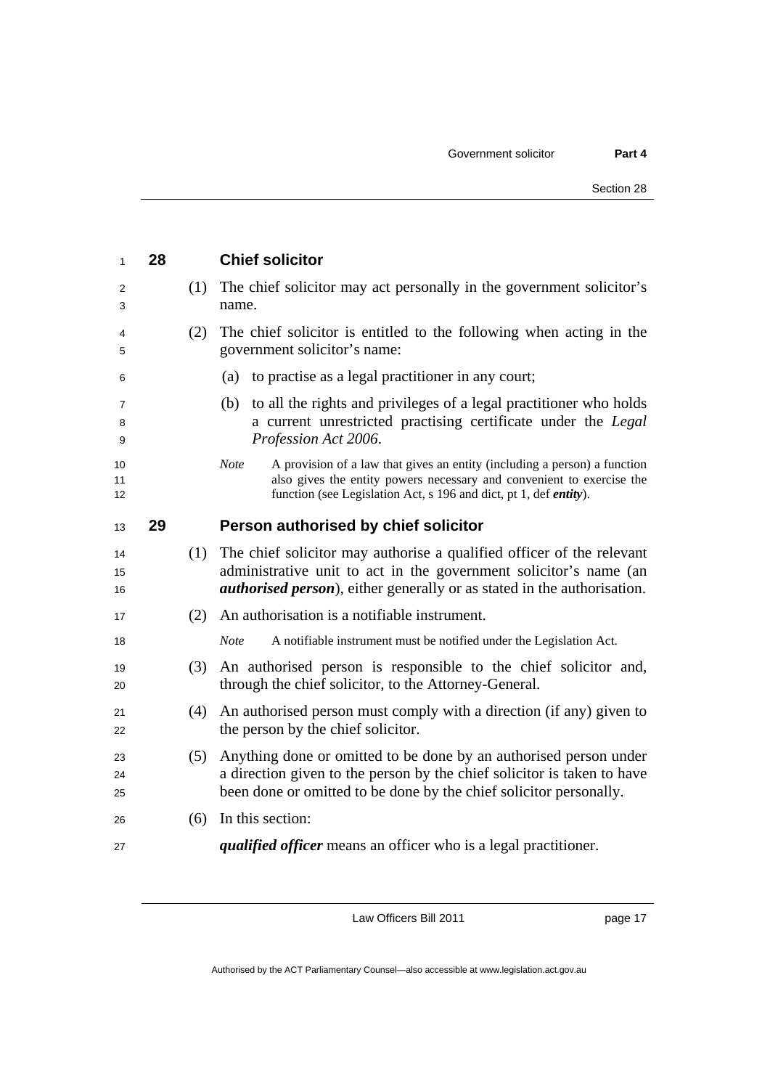| 1              | 28 |     | <b>Chief solicitor</b>                                                                                                                                                                                                                         |
|----------------|----|-----|------------------------------------------------------------------------------------------------------------------------------------------------------------------------------------------------------------------------------------------------|
| 2<br>3         |    | (1) | The chief solicitor may act personally in the government solicitor's<br>name.                                                                                                                                                                  |
| 4<br>5         |    | (2) | The chief solicitor is entitled to the following when acting in the<br>government solicitor's name:                                                                                                                                            |
| 6              |    |     | to practise as a legal practitioner in any court;<br>(a)                                                                                                                                                                                       |
| 7<br>8<br>9    |    |     | to all the rights and privileges of a legal practitioner who holds<br>(b)<br>a current unrestricted practising certificate under the Legal<br>Profession Act 2006.                                                                             |
| 10<br>11<br>12 |    |     | A provision of a law that gives an entity (including a person) a function<br><b>Note</b><br>also gives the entity powers necessary and convenient to exercise the<br>function (see Legislation Act, s 196 and dict, pt 1, def <i>entity</i> ). |
| 13             | 29 |     | Person authorised by chief solicitor                                                                                                                                                                                                           |
| 14<br>15<br>16 |    | (1) | The chief solicitor may authorise a qualified officer of the relevant<br>administrative unit to act in the government solicitor's name (an<br><i>authorised person</i> ), either generally or as stated in the authorisation.                  |
| 17             |    | (2) | An authorisation is a notifiable instrument.                                                                                                                                                                                                   |
| 18             |    |     | <b>Note</b><br>A notifiable instrument must be notified under the Legislation Act.                                                                                                                                                             |
| 19<br>20       |    | (3) | An authorised person is responsible to the chief solicitor and,<br>through the chief solicitor, to the Attorney-General.                                                                                                                       |
| 21<br>22       |    | (4) | An authorised person must comply with a direction (if any) given to<br>the person by the chief solicitor.                                                                                                                                      |
| 23<br>24<br>25 |    | (5) | Anything done or omitted to be done by an authorised person under<br>a direction given to the person by the chief solicitor is taken to have<br>been done or omitted to be done by the chief solicitor personally.                             |
| 26             |    | (6) | In this section:                                                                                                                                                                                                                               |
| 27             |    |     | <i>qualified officer</i> means an officer who is a legal practitioner.                                                                                                                                                                         |

page 17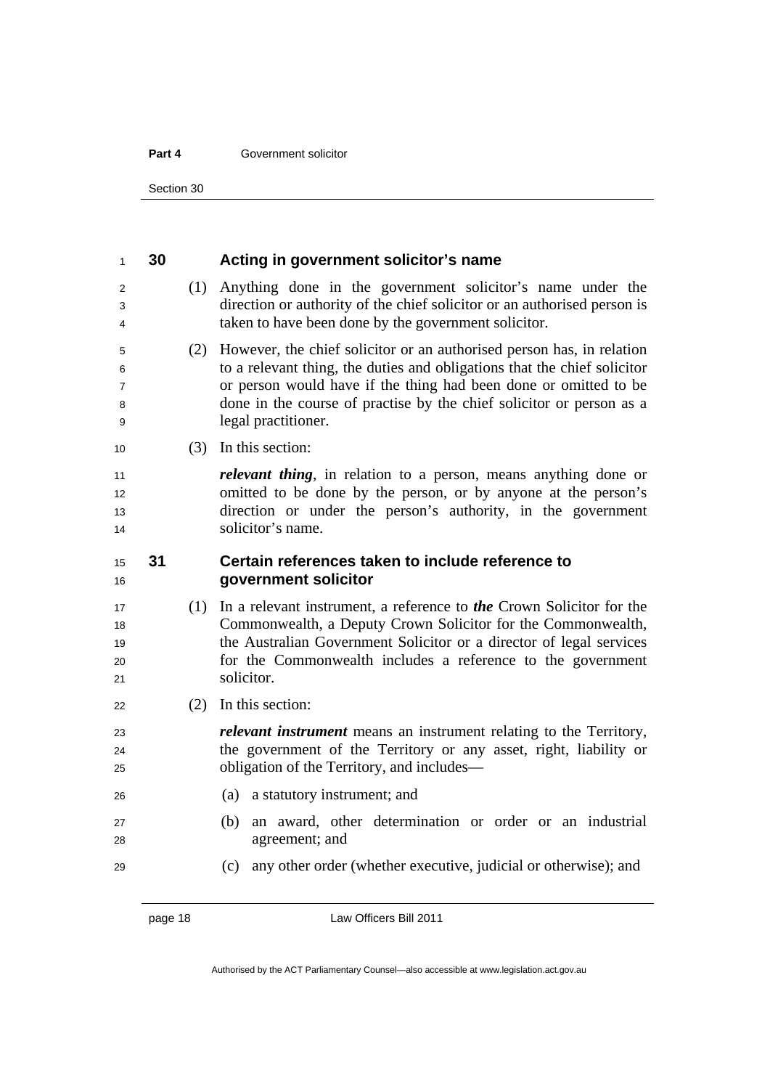#### **Part 4 Government solicitor**

Section 30

| $\mathbf{1}$                       | 30 |     | Acting in government solicitor's name                                                                                                                                                                                                                                                                                |
|------------------------------------|----|-----|----------------------------------------------------------------------------------------------------------------------------------------------------------------------------------------------------------------------------------------------------------------------------------------------------------------------|
| $\overline{2}$<br>3<br>4           |    | (1) | Anything done in the government solicitor's name under the<br>direction or authority of the chief solicitor or an authorised person is<br>taken to have been done by the government solicitor.                                                                                                                       |
| 5<br>6<br>$\overline{7}$<br>8<br>9 |    | (2) | However, the chief solicitor or an authorised person has, in relation<br>to a relevant thing, the duties and obligations that the chief solicitor<br>or person would have if the thing had been done or omitted to be<br>done in the course of practise by the chief solicitor or person as a<br>legal practitioner. |
| 10                                 |    | (3) | In this section:                                                                                                                                                                                                                                                                                                     |
| 11<br>12<br>13<br>14               |    |     | <i>relevant thing</i> , in relation to a person, means anything done or<br>omitted to be done by the person, or by anyone at the person's<br>direction or under the person's authority, in the government<br>solicitor's name.                                                                                       |
| 15<br>16                           | 31 |     | Certain references taken to include reference to<br>government solicitor                                                                                                                                                                                                                                             |
| 17<br>18<br>19<br>20<br>21         |    | (1) | In a relevant instrument, a reference to <b>the</b> Crown Solicitor for the<br>Commonwealth, a Deputy Crown Solicitor for the Commonwealth,<br>the Australian Government Solicitor or a director of legal services<br>for the Commonwealth includes a reference to the government<br>solicitor.                      |
| 22                                 |    | (2) | In this section:                                                                                                                                                                                                                                                                                                     |
| 23<br>24<br>25                     |    |     | <i>relevant instrument</i> means an instrument relating to the Territory,<br>the government of the Territory or any asset, right, liability or<br>obligation of the Territory, and includes—                                                                                                                         |
| 26                                 |    |     | (a) a statutory instrument; and                                                                                                                                                                                                                                                                                      |
| 27<br>28                           |    |     | an award, other determination or order or an industrial<br>(b)<br>agreement; and                                                                                                                                                                                                                                     |
| 29                                 |    |     | any other order (whether executive, judicial or otherwise); and<br>(c)                                                                                                                                                                                                                                               |

page 18 **Law Officers Bill 2011**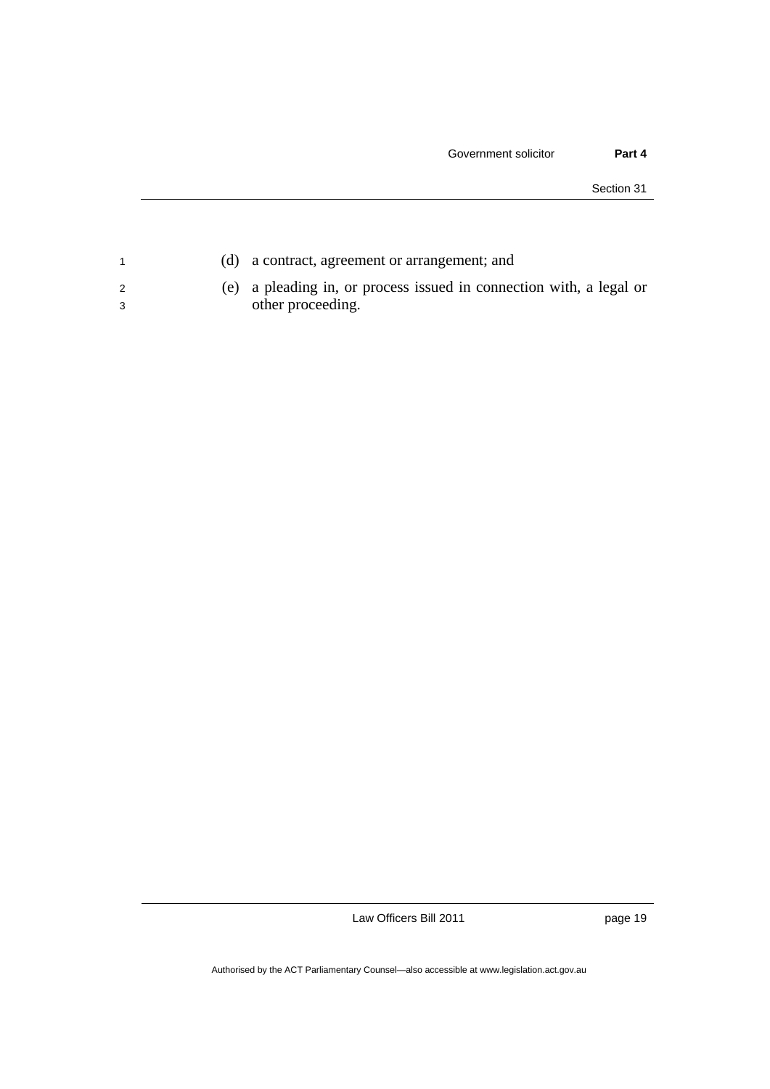| (d) a contract, agreement or arrangement; and                       |
|---------------------------------------------------------------------|
| (e) a pleading in, or process issued in connection with, a legal or |
| other proceeding.                                                   |

page 19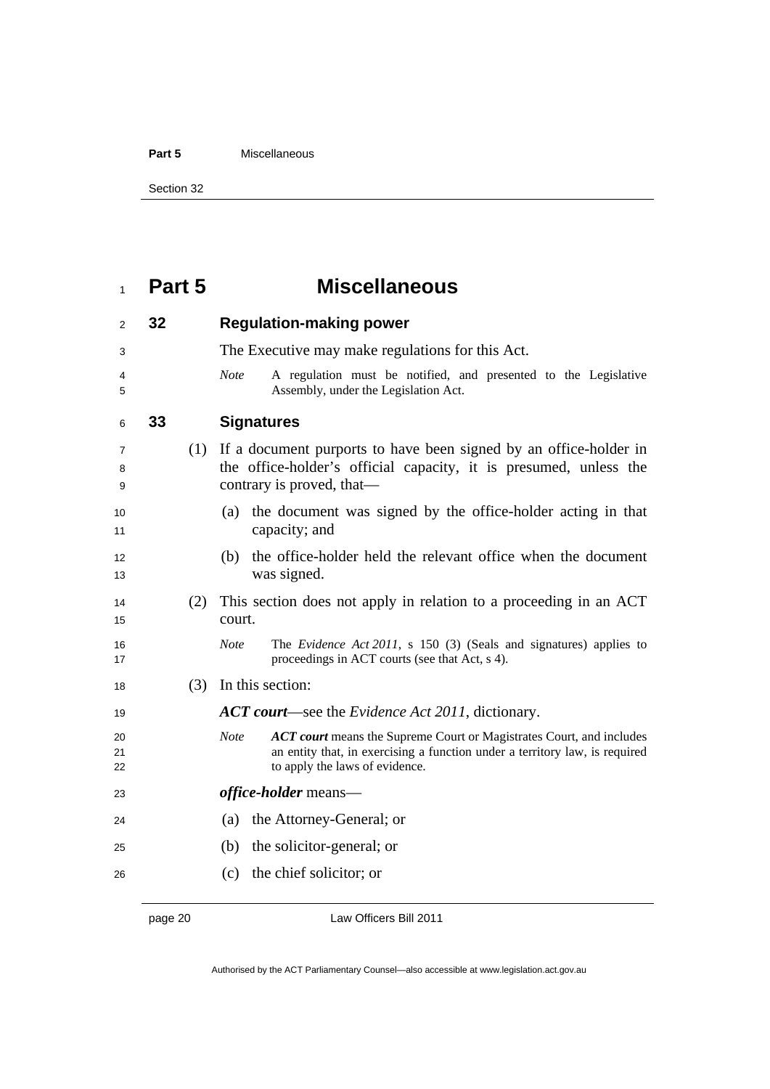#### **Part 5** Miscellaneous

Section 32

## **Part 5 Miscellaneous**

| 2              | 32 |     | <b>Regulation-making power</b>                                                                                                                                                                              |
|----------------|----|-----|-------------------------------------------------------------------------------------------------------------------------------------------------------------------------------------------------------------|
| 3              |    |     | The Executive may make regulations for this Act.                                                                                                                                                            |
| 4<br>5         |    |     | A regulation must be notified, and presented to the Legislative<br><b>Note</b><br>Assembly, under the Legislation Act.                                                                                      |
| 6              | 33 |     | <b>Signatures</b>                                                                                                                                                                                           |
| 7<br>8<br>9    |    | (1) | If a document purports to have been signed by an office-holder in<br>the office-holder's official capacity, it is presumed, unless the<br>contrary is proved, that—                                         |
| 10<br>11       |    |     | the document was signed by the office-holder acting in that<br>(a)<br>capacity; and                                                                                                                         |
| 12<br>13       |    |     | the office-holder held the relevant office when the document<br>(b)<br>was signed.                                                                                                                          |
| 14<br>15       |    | (2) | This section does not apply in relation to a proceeding in an ACT<br>court.                                                                                                                                 |
| 16<br>17       |    |     | <b>Note</b><br>The <i>Evidence Act 2011</i> , s 150 (3) (Seals and signatures) applies to<br>proceedings in ACT courts (see that Act, s 4).                                                                 |
| 18             |    | (3) | In this section:                                                                                                                                                                                            |
| 19             |    |     | <b>ACT court—see the Evidence Act 2011, dictionary.</b>                                                                                                                                                     |
| 20<br>21<br>22 |    |     | <b>Note</b><br><b>ACT court</b> means the Supreme Court or Magistrates Court, and includes<br>an entity that, in exercising a function under a territory law, is required<br>to apply the laws of evidence. |
| 23             |    |     | <i>office-holder</i> means—                                                                                                                                                                                 |
| 24             |    |     | the Attorney-General; or<br>(a)                                                                                                                                                                             |
| 25             |    |     | the solicitor-general; or<br>(b)                                                                                                                                                                            |
| 26             |    |     | (c) the chief solicitor; or                                                                                                                                                                                 |

page 20 Law Officers Bill 2011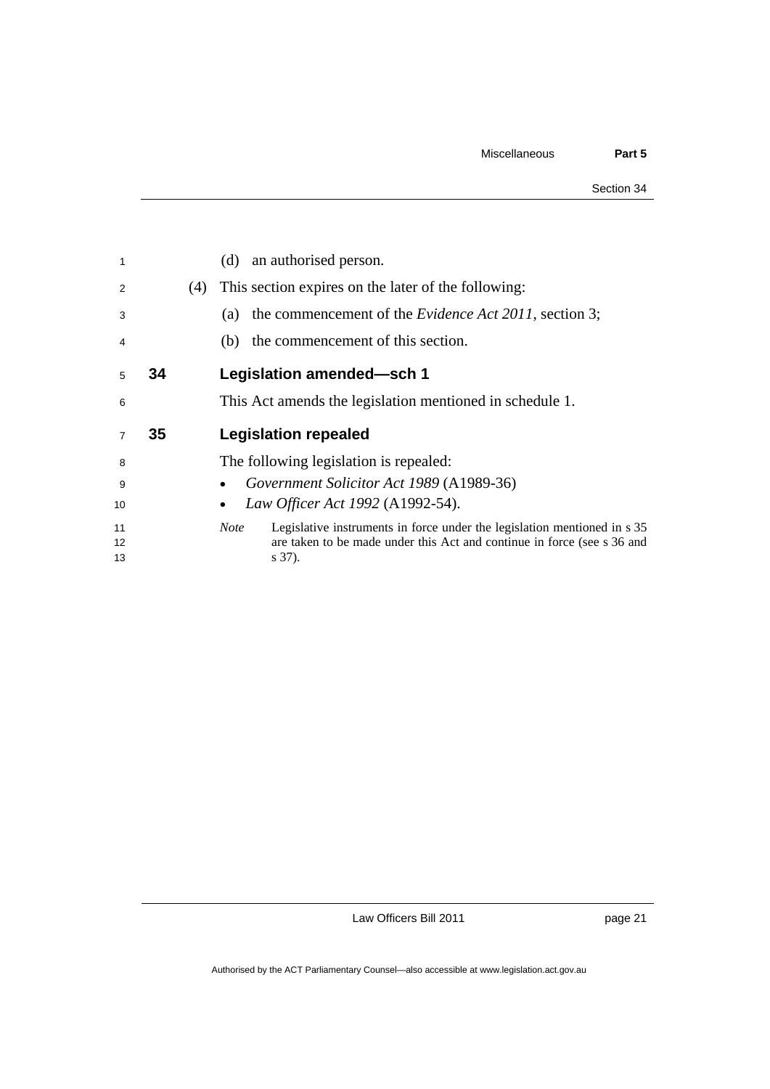| 1              |    |     | an authorised person.<br>(d)                                                                                                                                                 |
|----------------|----|-----|------------------------------------------------------------------------------------------------------------------------------------------------------------------------------|
| 2              |    | (4) | This section expires on the later of the following:                                                                                                                          |
| 3              |    |     | the commencement of the <i>Evidence Act 2011</i> , section 3;<br>(a)                                                                                                         |
| 4              |    |     | the commencement of this section.<br>(b)                                                                                                                                     |
| 5              | 34 |     | Legislation amended-sch 1                                                                                                                                                    |
| 6              |    |     | This Act amends the legislation mentioned in schedule 1.                                                                                                                     |
| $\overline{7}$ | 35 |     | <b>Legislation repealed</b>                                                                                                                                                  |
| 8              |    |     | The following legislation is repealed:                                                                                                                                       |
| 9              |    |     | Government Solicitor Act 1989 (A1989-36)                                                                                                                                     |
| 10             |    |     | Law Officer Act 1992 (A1992-54).                                                                                                                                             |
| 11<br>12<br>13 |    |     | Legislative instruments in force under the legislation mentioned in s 35<br><b>Note</b><br>are taken to be made under this Act and continue in force (see s 36 and<br>s 37). |

page 21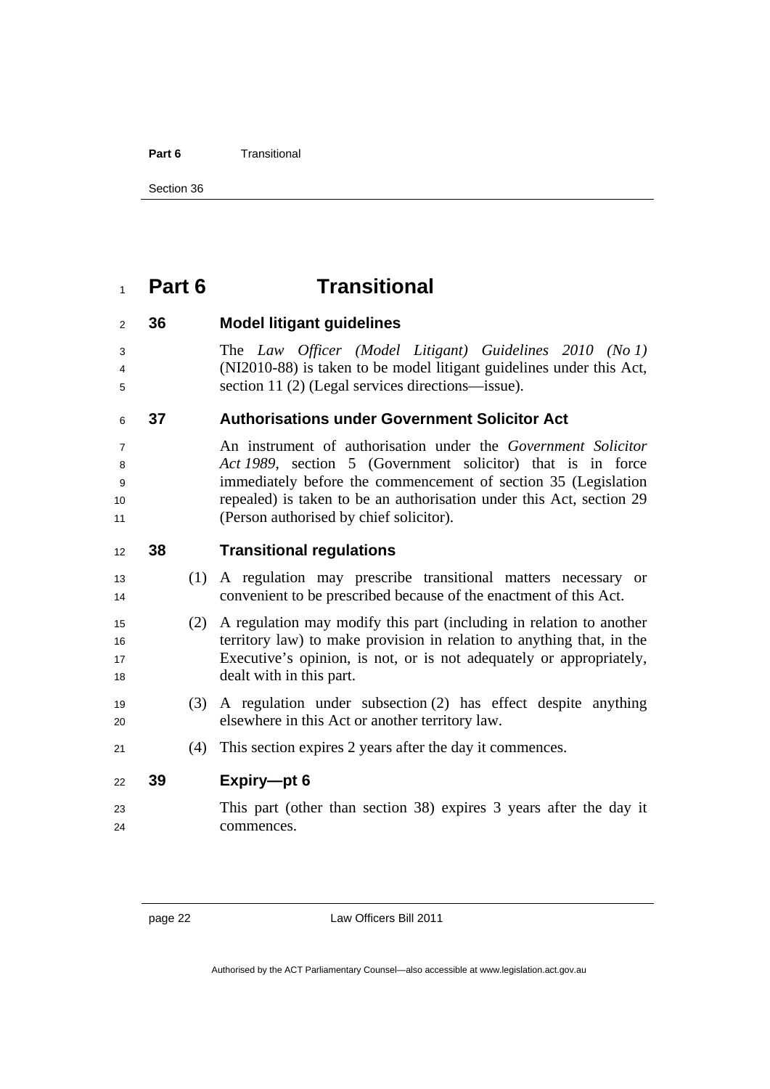#### **Part 6** Transitional

Section 36

### **Part 6 Transitional**

#### **36 Model litigant guidelines**

The *Law Officer (Model Litigant) Guidelines 2010 (No 1)* (NI2010-88) is taken to be model litigant guidelines under this Act, section 11 (2) (Legal services directions—issue).

#### **37 Authorisations under Government Solicitor Act**

An instrument of authorisation under the *Government Solicitor Act 1989*, section 5 (Government solicitor) that is in force immediately before the commencement of section 35 (Legislation 10 repealed) is taken to be an authorisation under this Act, section 29 (Person authorised by chief solicitor).

#### **38 Transitional regulations**

- (1) A regulation may prescribe transitional matters necessary or convenient to be prescribed because of the enactment of this Act.
- (2) A regulation may modify this part (including in relation to another territory law) to make provision in relation to anything that, in the Executive's opinion, is not, or is not adequately or appropriately, 18 dealt with in this part.
- (3) A regulation under subsection (2) has effect despite anything 20 elsewhere in this Act or another territory law.
- (4) This section expires 2 years after the day it commences.

#### **39 Expiry—pt 6**

This part (other than section 38) expires 3 years after the day it commences.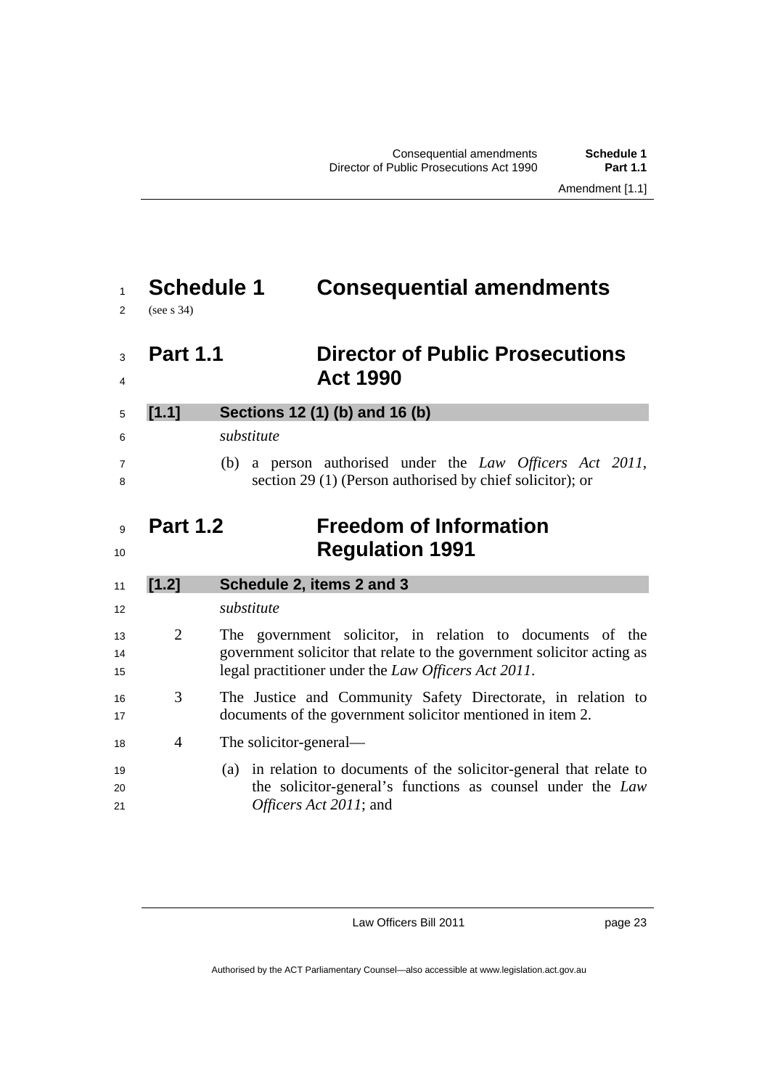### **Schedule 1 Consequential amendments**

(see s 34)

### **Part 1.1 Director of Public Prosecutions Act 1990**

**[1.1] Sections 12 (1) (b) and 16 (b)**  *substitute*  (b) a person authorised under the *Law Officers Act 2011*, section 29 (1) (Person authorised by chief solicitor); or

### **Part 1.2 Freedom of Information**  10<br>**Regulation 1991**

| 11 | [1.2] | Schedule 2, items 2 and 3                                              |
|----|-------|------------------------------------------------------------------------|
| 12 |       | substitute                                                             |
| 13 | 2     | The government solicitor, in relation to documents of the              |
| 14 |       | government solicitor that relate to the government solicitor acting as |
| 15 |       | legal practitioner under the <i>Law Officers Act 2011</i> .            |
| 16 | 3     | The Justice and Community Safety Directorate, in relation to           |
| 17 |       | documents of the government solicitor mentioned in item 2.             |
| 18 | 4     | The solicitor-general—                                                 |
| 19 |       | (a) in relation to documents of the solicitor-general that relate to   |
| 20 |       | the solicitor-general's functions as counsel under the Law             |
| 21 |       | <i>Officers Act 2011</i> ; and                                         |

Law Officers Bill 2011

page 23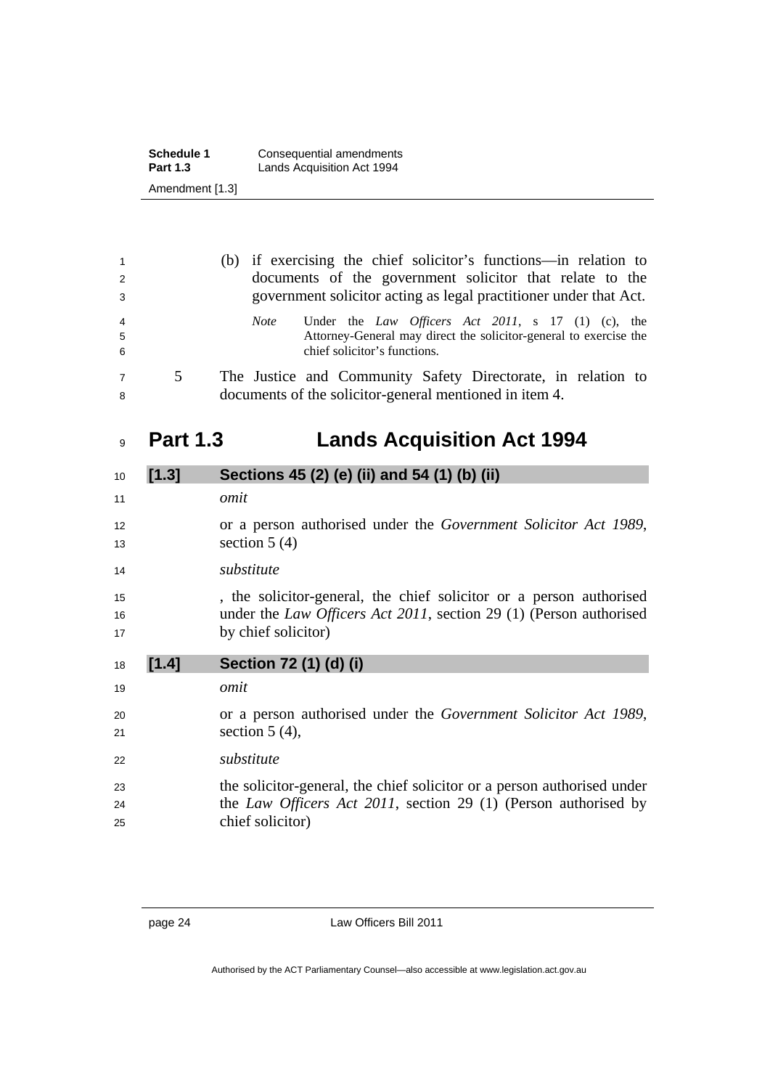| <b>Schedule 1</b> | Consequential amendments   |
|-------------------|----------------------------|
| <b>Part 1.3</b>   | Lands Acquisition Act 1994 |
| Amendment [1.3]   |                            |

| $\overline{1}$<br>2<br>3 |   | (b) if exercising the chief solicitor's functions—in relation to<br>documents of the government solicitor that relate to the<br>government solicitor acting as legal practitioner under that Act. |
|--------------------------|---|---------------------------------------------------------------------------------------------------------------------------------------------------------------------------------------------------|
| $\overline{4}$<br>5<br>6 |   | Under the Law Officers Act 2011, s $17$ (1) (c), the<br><i>Note</i><br>Attorney-General may direct the solicitor-general to exercise the<br>chief solicitor's functions.                          |
| $\overline{7}$<br>8      | 5 | The Justice and Community Safety Directorate, in relation to<br>documents of the solicitor-general mentioned in item 4.                                                                           |

## **Part 1.3 Lands Acquisition Act 1994**

| 10       | [1.3] | Sections 45 (2) (e) (ii) and 54 (1) (b) (ii)                                                |
|----------|-------|---------------------------------------------------------------------------------------------|
| 11       |       | omit                                                                                        |
| 12<br>13 |       | or a person authorised under the <i>Government Solicitor Act 1989</i> ,<br>section $5(4)$   |
| 14       |       | substitute                                                                                  |
| 15       |       | , the solicitor-general, the chief solicitor or a person authorised                         |
| 16       |       | under the Law Officers Act 2011, section 29 (1) (Person authorised                          |
| 17       |       | by chief solicitor)                                                                         |
|          |       |                                                                                             |
| 18       | [1.4] | Section 72 (1) (d) (i)                                                                      |
| 19       |       | omit                                                                                        |
| 20       |       | or a person authorised under the <i>Government Solicitor Act 1989</i> ,                     |
| 21       |       | section $5(4)$ ,                                                                            |
| 22       |       | substitute                                                                                  |
| 23       |       | the solicitor-general, the chief solicitor or a person authorised under                     |
| 24<br>25 |       | the <i>Law Officers Act 2011</i> , section 29 (1) (Person authorised by<br>chief solicitor) |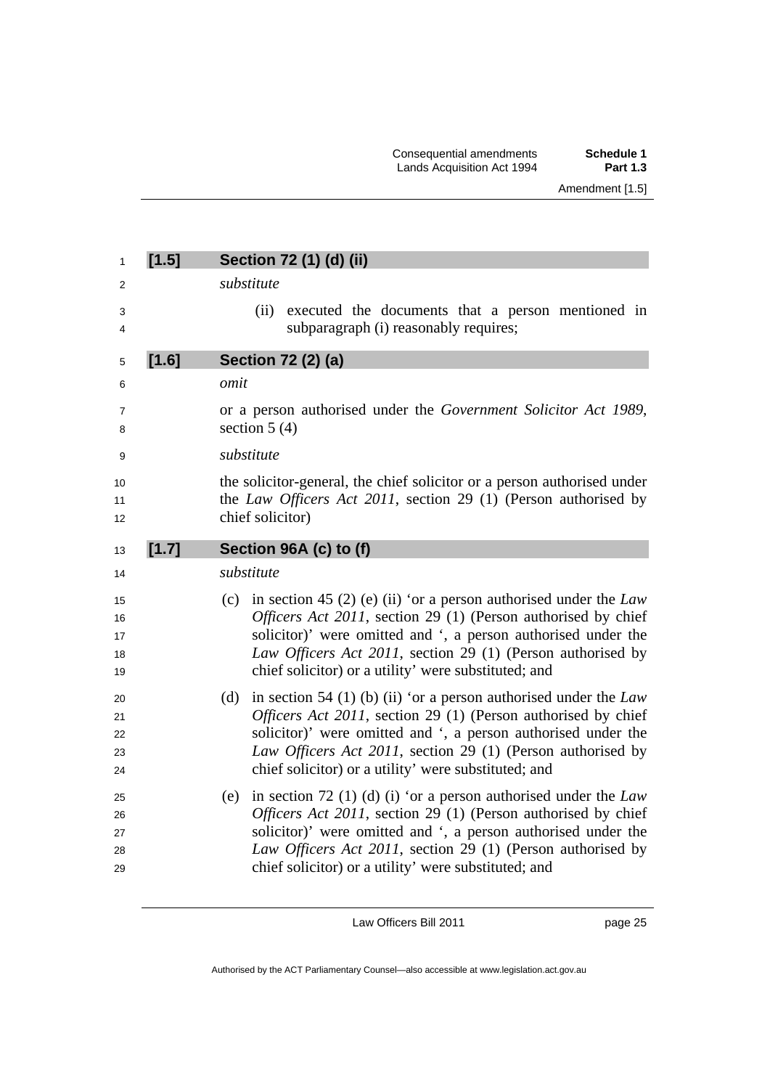| 1                          | [1.5] | Section 72 (1) (d) (ii)                                                                                                                                                                                                                                                                                                            |
|----------------------------|-------|------------------------------------------------------------------------------------------------------------------------------------------------------------------------------------------------------------------------------------------------------------------------------------------------------------------------------------|
| 2                          |       | substitute                                                                                                                                                                                                                                                                                                                         |
| 3<br>4                     |       | executed the documents that a person mentioned in<br>(ii)<br>subparagraph (i) reasonably requires;                                                                                                                                                                                                                                 |
| 5                          | [1.6] | Section 72 (2) (a)                                                                                                                                                                                                                                                                                                                 |
| 6                          |       | omit                                                                                                                                                                                                                                                                                                                               |
| 7<br>8                     |       | or a person authorised under the Government Solicitor Act 1989,<br>section $5(4)$                                                                                                                                                                                                                                                  |
| 9                          |       | substitute                                                                                                                                                                                                                                                                                                                         |
| 10<br>11<br>12             |       | the solicitor-general, the chief solicitor or a person authorised under<br>the Law Officers Act 2011, section 29 (1) (Person authorised by<br>chief solicitor)                                                                                                                                                                     |
| 13                         | [1.7] | Section 96A (c) to (f)                                                                                                                                                                                                                                                                                                             |
|                            |       |                                                                                                                                                                                                                                                                                                                                    |
| 14                         |       | substitute                                                                                                                                                                                                                                                                                                                         |
| 15<br>16<br>17<br>18<br>19 |       | in section 45 (2) (e) (ii) 'or a person authorised under the $Law$<br>(c)<br>Officers Act 2011, section 29 (1) (Person authorised by chief<br>solicitor)' were omitted and ', a person authorised under the<br>Law Officers Act 2011, section 29 (1) (Person authorised by<br>chief solicitor) or a utility' were substituted; and |
| 20<br>21<br>22<br>23<br>24 |       | (d)<br>in section 54 (1) (b) (ii) 'or a person authorised under the $Law$<br>Officers Act 2011, section 29 (1) (Person authorised by chief<br>solicitor)' were omitted and ', a person authorised under the<br>Law Officers Act 2011, section 29 (1) (Person authorised by<br>chief solicitor) or a utility' were substituted; and |

page 25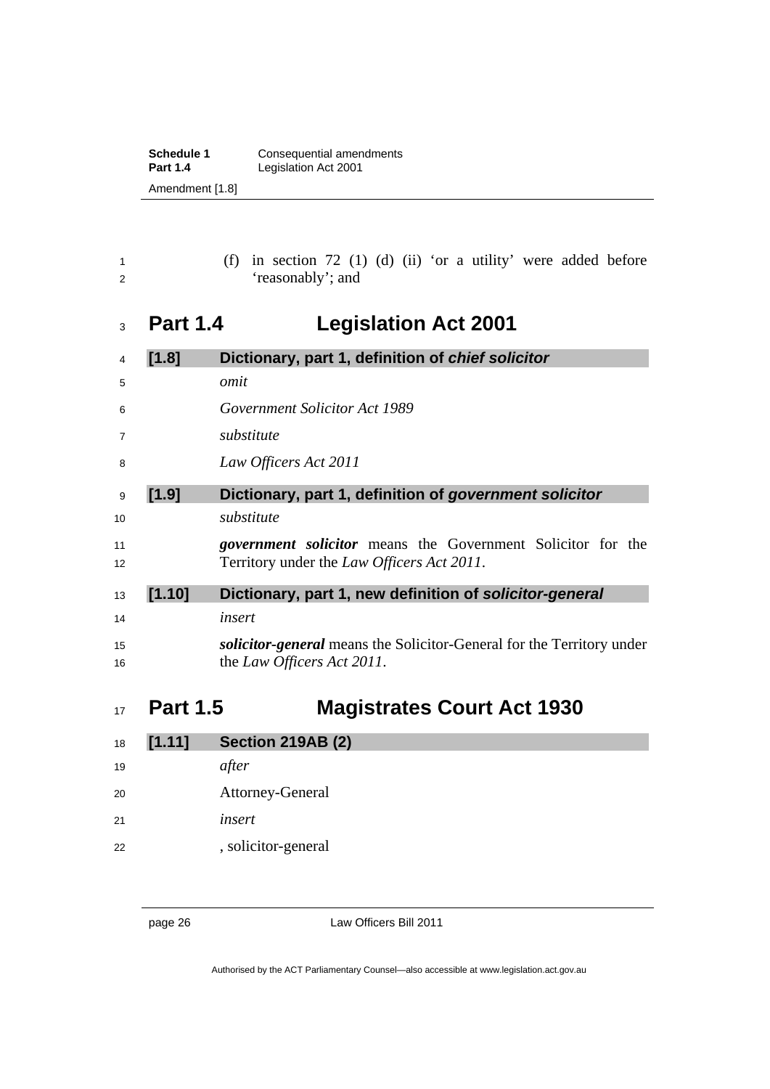| Schedule 1      | Consequential amendments |  |  |
|-----------------|--------------------------|--|--|
| <b>Part 1.4</b> | Legislation Act 2001     |  |  |
| Amendment [1.8] |                          |  |  |

|  | (f) in section 72 (1) (d) (ii) 'or a utility' were added before |  |  |  |  |  |
|--|-----------------------------------------------------------------|--|--|--|--|--|
|  | 'reasonably'; and                                               |  |  |  |  |  |

## **Part 1.4 Legislation Act 2001**

| 4        | [1.8]  | Dictionary, part 1, definition of chief solicitor                                                                        |
|----------|--------|--------------------------------------------------------------------------------------------------------------------------|
| 5        |        | omit                                                                                                                     |
| 6        |        | <i>Government Solicitor Act 1989</i>                                                                                     |
| 7        |        | substitute                                                                                                               |
| 8        |        | Law Officers Act 2011                                                                                                    |
| 9        | [1.9]  | Dictionary, part 1, definition of government solicitor                                                                   |
| 10       |        | substitute                                                                                                               |
| 11<br>12 |        | <i>government solicitor</i> means the Government Solicitor for the<br>Territory under the <i>Law Officers Act 2011</i> . |
| 13       | [1.10] | Dictionary, part 1, new definition of solicitor-general                                                                  |
| 14       |        | insert                                                                                                                   |
| 15       |        | <i>solicitor-general</i> means the Solicitor-General for the Territory under                                             |
| 16       |        | the Law Officers Act 2011.                                                                                               |

## **Part 1.5 Magistrates Court Act 1930**

| 18 | [1.11] | <b>Section 219AB (2)</b> |
|----|--------|--------------------------|
| 19 |        | after                    |
| 20 |        | Attorney-General         |
| 21 |        | insert                   |
| 22 |        | , solicitor-general      |

page 26 Law Officers Bill 2011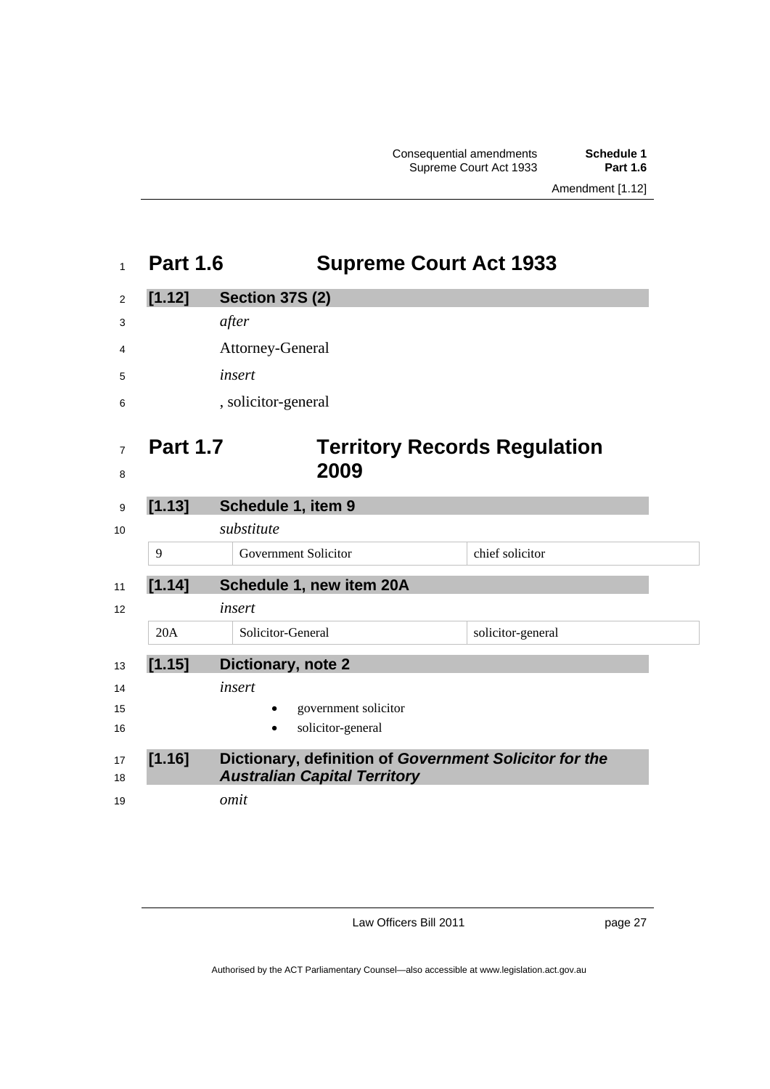Consequential amendments **Schedule 1** Supreme Court Act 1933

## **Part 1.6 Supreme Court Act 1933 [1.12] Section 37S (2)**  *after*  Attorney-General *insert*  , solicitor-general **Part 1.7 Territory Records Regulation 2009 [1.13] Schedule 1, item 9**  *substitute*  9 Government Solicitor chief solicitor **[1.14] Schedule 1, new item 20A**  *insert*  20A Solicitor-General solicitor-general **[1.15] Dictionary, note 2**  *insert*  **government solicitor** 16 solicitor-general **[1.16] Dictionary, definition of** *Government Solicitor for the Australian Capital Territory omit*

Law Officers Bill 2011

page 27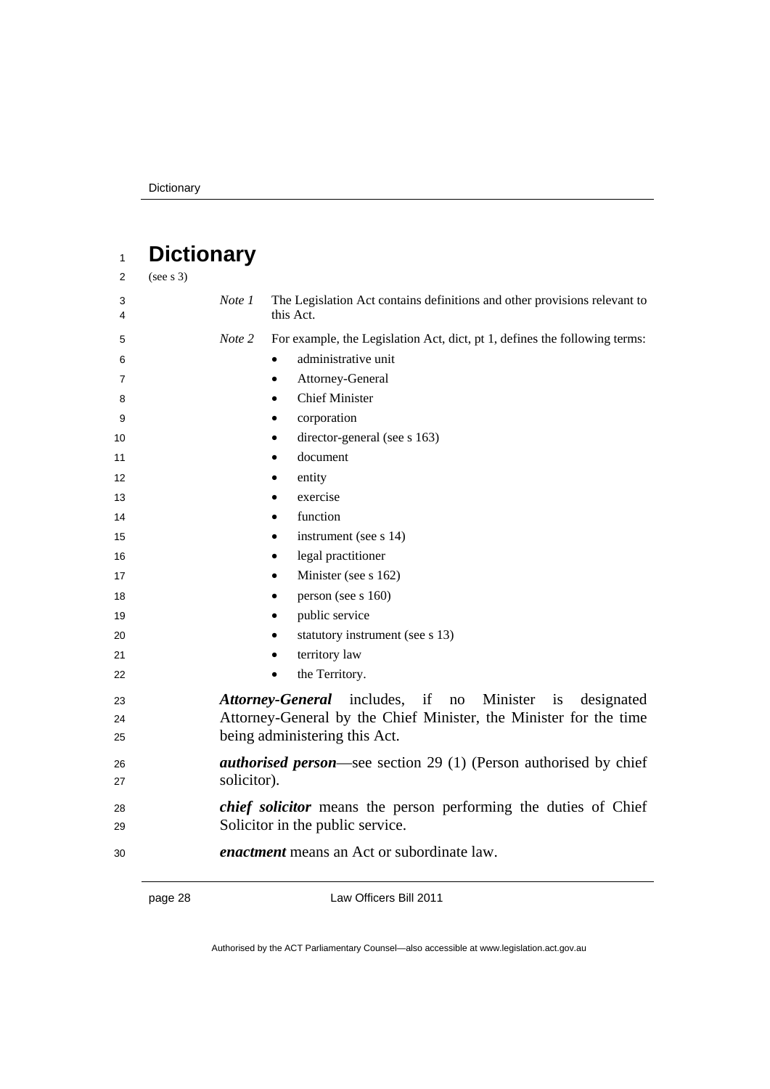### **Dictionary**  (see s 3) *Note 1* The Legislation Act contains definitions and other provisions relevant to this Act. *Note 2* For example, the Legislation Act, dict, pt 1, defines the following terms: administrative unit **Attorney-General**  Chief Minister corporation 10 director-general (see s 163) **document e** entity 13 exercise **e** function **instrument** (see s 14) **legal practitioner Minister** (see s 162) **e** person (see s 160) 19 public service **statutory instrument (see s 13) e** territory law **the Territory.** *Attorney-General* includes, if no Minister is designated Attorney-General by the Chief Minister, the Minister for the time 25 being administering this Act. *authorised person*—see section 29 (1) (Person authorised by chief solicitor). *chief solicitor* means the person performing the duties of Chief 29 Solicitor in the public service. *enactment* means an Act or subordinate law.

page 28 Law Officers Bill 2011